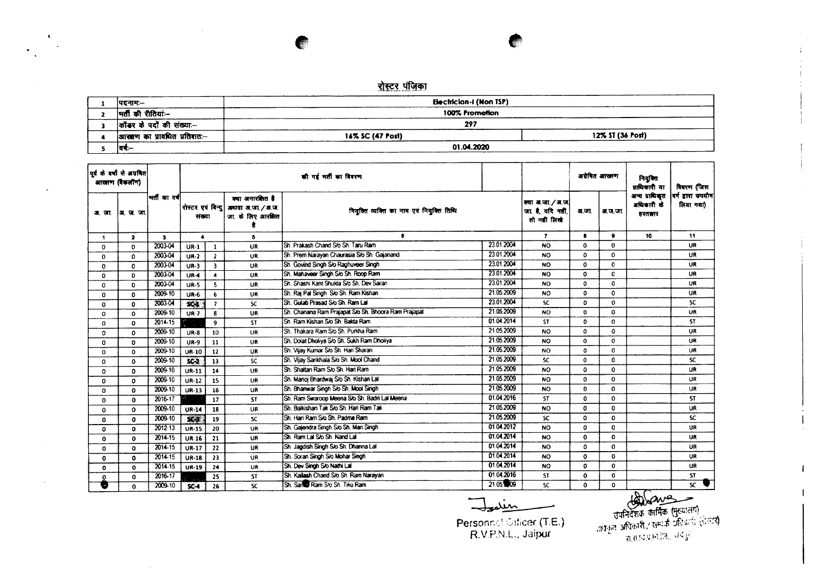## <u>रोस्टर पंजिका</u>

 $\blacktriangleleft$ 

 $\sim$ 

| ।पदनामः—                     | Electrician-I (Non TSP) | -------------    |
|------------------------------|-------------------------|------------------|
| मतौ की रीतियां:--            | 100% Promotion          |                  |
| कॉटर के पदों की संख्या:--    | 297                     |                  |
| आरक्षण का प्रावधित प्रतिशतः— | 16% SC (47 Post)        | 12% ST (36 Post) |
| वर्†:—                       | 01.04.2020              |                  |

|              | पूर्व के वर्षों से अग्रगित<br>आरक्षण (बैंकलॉग) |              |                             |                          |                                                            | की गई भर्ती का विवरण                                 |            |                                                   | अग्रेषित आखाण |             | नियुक्ति<br>प्राधिकारी या               | विवरण जिस                     |
|--------------|------------------------------------------------|--------------|-----------------------------|--------------------------|------------------------------------------------------------|------------------------------------------------------|------------|---------------------------------------------------|---------------|-------------|-----------------------------------------|-------------------------------|
| अप्ता        | अ. ज. जा.                                      | भर्तीका वर्ष | रोस्टर एवं विन्द <br>संख्या |                          | क्या अनारशित है<br>अथवा अ.जा. / अ.ज.<br>जा, के लिए आरक्षित | नियुक्ति व्यक्ति का नाम एवं नियुक्ति तिथि            |            | क्या अ.जा./अ.ज.<br>जा है यदि नहीं<br>तो नहीं लिखे | अ.जा.         | अ.ज.जा.     | अन्य प्राधिकृत<br>अधिकारी के<br>हस्तानर | वर्ग डारा उपयोग <br>लिया गया) |
| 1            | $\mathbf{z}$                                   | $\mathbf{3}$ | $\blacktriangleleft$        |                          | 5                                                          | 6                                                    |            | $\mathbf{7}$                                      | 8             | 9           | 10                                      | 11                            |
| 0            | $\Omega$                                       | 2003-04      | $UR-1$                      | 1                        | <b>UR</b>                                                  | Sh. Prakash Chand S/o Sh. Taru Ram                   | 23.01.2004 | <b>NO</b>                                         | $\bullet$     | $\Omega$    |                                         | <b>UR</b>                     |
| 0            | $\Omega$                                       | 2003-04      | $UR-2$                      | $\mathbf{2}$             | <b>UR</b>                                                  | Sh. Prem Narayan Chaurasia S/o Sh. Gajanand          | 23.01.2004 | <b>NO</b>                                         | $\Omega$      | $\mathbf 0$ |                                         | <b>UR</b>                     |
| 0            | $\Omega$                                       | 2003-04      | $UR-3$                      | $\overline{\mathbf{3}}$  | <b>UR</b>                                                  | Sh. Govind Singh S/o Raghuveer Singh                 | 23.01.2004 | NO.                                               | $\Omega$      | c           |                                         | <b>UR</b>                     |
| 0            | $\Omega$                                       | 2003-04      | $UR-4$                      | 4                        | <b>UR</b>                                                  | Sh. Mahaveer Singh S/o Sh. Roop Ram                  | 23.01.2004 | NO.                                               | $\circ$       | C           |                                         | <b>UR</b>                     |
| 0            | $\mathbf o$                                    | 2003-04      | <b>UR-5</b>                 | 5                        | <b>UR</b>                                                  | ISh, Shashi Kant Shukla S/o Sh, Dev Saran            | 23.01.2004 | <b>NO</b>                                         | $\mathbf{0}$  | $\Omega$    |                                         | UR                            |
| 0            | $\mathbf{0}$                                   | 2009-10      | $UR-6$                      | 6                        | <b>UR</b>                                                  | Sh. Rai Pal Singh S/o Sh. Ram Kishan                 | 21.05.2009 | <b>NO</b>                                         | $\mathbf{o}$  | $\Omega$    |                                         | <b>UR</b>                     |
| 0            | O                                              | 2003-04      | 50 <sub>4</sub>             | $\overline{\phantom{a}}$ | <b>SC</b>                                                  | Sh. Gulab Prasad S/o Sh. Ram Lai                     | 23.01.2004 | <b>SC</b>                                         | $\mathbf{0}$  | $\bf{0}$    |                                         | SC.                           |
| 0            | O                                              | 2009-10      | $UR-7$                      | 8                        | UR                                                         | Sh. Chanana Ram Prajapat S/o Sh. Bhoora Ram Prajapat | 21.05.2009 | NO.                                               | $\mathbf{o}$  | $\Omega$    |                                         | UR.                           |
| 0            | 0                                              | 2014-15      |                             | 9                        | <b>ST</b>                                                  | Sh. Ram Kishan S/o Sh. Bakta Ram                     | 01.04.2014 | <b>ST</b>                                         | 0             | 0           |                                         | ST.                           |
| $\mathbf{0}$ | 0                                              | 2009-10      | $UR-8$                      | 10                       | UR                                                         | Sh. Thakara Ram S/o Sh. Purkha Ram                   | 21.05.2009 | <b>NO</b>                                         | $\mathbf{o}$  | 0           |                                         | UR                            |
| 0            | $\mathbf o$                                    | 2009-10      | <b>UR-9</b>                 | 11                       | UR                                                         | Sh. Dolat Dholiya S/o Sh. Sukh Ram Dholiya           | 21.05.2009 | NO.                                               | $\mathbf{o}$  | $\Omega$    |                                         | UR.                           |
| 0            | 0                                              | 2009-10      | <b>UR-10</b>                | 12                       | UR                                                         | Sh. Vijay Kumar S/o Sh. Hari Sharan                  | 21.05.2009 | <b>NO</b>                                         | $\Omega$      | $\Omega$    |                                         | UR.                           |
| 0            | $\Omega$                                       | 2009-10      | $SC-2$                      | 13                       | <b>SC</b>                                                  | Sh. Vijay Sankhala S/o Sh. Mool Chand                | 21.05.2009 | <b>SC</b>                                         | $\Omega$      | 0           |                                         | SC.                           |
| 0            | $\Omega$                                       | 2009-10      | <b>UR-11</b>                | 14                       | UR                                                         | <b>ISh, Shaitan Ram So Sh, Hari Ram</b>              | 21.05.2009 | <b>NO</b>                                         | $\mathbf 0$   | 0           |                                         | <b>UR</b>                     |
| 0            | 0                                              | 2009-10      | <b>UR-12</b>                | 15                       | <b>UR</b>                                                  | Sh. Manoi Bhardwai S/o Sh. Kishan Lal                | 21.05.2009 | <b>NO</b>                                         | $\mathbf 0$   | 0           |                                         | UR                            |
| 0            | 0                                              | 2009-10      | UR-13                       | 16                       | UR                                                         | Sh. Bhanwar Singh S/o Sh. Mool Singh                 | 21.05.2009 | NO.                                               | $\mathbf{0}$  | $\Omega$    |                                         | <b>UR</b>                     |
| 0            | $\Omega$                                       | 2016-17      |                             | 17                       | <b>ST</b>                                                  | Sh. Ram Swaroop Meena S/o Sh. Badri Lal Meena        | 01.04.2016 | <b>ST</b>                                         | $\mathbf{0}$  | 0           |                                         | <b>ST</b>                     |
| 0            | 0                                              | 2009-10      | <b>UR-14</b>                | 18                       | UR                                                         | <b>ISh. Baikishan Tak S/o Sh. Hari Ram Tak</b>       | 21.05.2009 | <b>NO</b>                                         | $\mathbf{o}$  | $\Omega$    |                                         | <b>UR</b>                     |
| 0            | $\mathbf{0}$                                   | 2009-10      | $50-3$                      | 19                       | <b>SC</b>                                                  | ISh. Hari Ram S/o Sh. Padma Ram                      | 21.05.2009 | <b>SC</b>                                         | $\Omega$      | 0           |                                         | SC.                           |
| $\mathbf{o}$ | $\Omega$                                       | 2012-13      | <b>UR-15</b>                | 20                       | <b>UR</b>                                                  | Sh. Galendra Singh S/o Sh. Man Singh                 | 01.04.2012 | <b>NO</b>                                         | $\Omega$      | 0           |                                         | UR                            |
| $\mathbf 0$  | 0                                              | 2014-15      | <b>UR-16</b>                | 21                       | <b>UR</b>                                                  | Sh. Ram Lal S/o Sh. Nand Lal                         | 01.04.2014 | <b>NO</b>                                         | $\mathbf 0$   | $\mathbf 0$ |                                         | <b>UR</b>                     |
| 0            | $\Omega$                                       | $2014 - 15$  | $UR-17$                     | 22                       | UR                                                         | Sh. Jagdish Singh S/o Sh. Dhanna Lal                 | 01.04.2014 | <b>NO</b>                                         | 0             | $\mathbf 0$ |                                         | <b>UR</b>                     |
| 0            | 0                                              | 2014-15      | <b>UR-18</b>                | 23                       | <b>UR</b>                                                  | Sh. Soran Singh S/o Mohar Singh                      | 01.04.2014 | <b>NO</b>                                         | $\mathbf{o}$  | $\bf{0}$    |                                         | <b>UR</b>                     |
| $\mathbf o$  | 0                                              | 2014-15      | $UR-19$                     | 24                       | UR                                                         | Sh. Dev Singh S/o Nathi Lal                          | 0104.2014  | <b>NO</b>                                         | $\mathbf{0}$  | $\bf{0}$    |                                         | <b>UR</b>                     |
| $\Omega$     | $\Omega$                                       | 2016-17      |                             | 25                       | <b>ST</b>                                                  | Sh. Kailash Chand S/o Sh. Ram Narayan                | 01.04.2016 | <b>ST</b>                                         | $\mathbf 0$   | 0           |                                         | ST.                           |
| Ð            | $\Omega$                                       | 2009-10      | $SC-4$                      | 26                       | SC.                                                        | Sh. San Ram S/o Sh. Tiku Ram                         | 21.05 09   | <b>SC</b>                                         | 0             | $\Omega$    |                                         | $\overline{\mathbf{x}}$       |

Julin

Personnal Officer (T.E.)<br>R.V.P.N.L., Jaipur

**(A) Chung<br>Jufacano कार्मिक (मुख्यातग)**<br>, क्षेत्रका अधिकारी / सम्पर्क अधिकारी (रोजन्द)<br>- शासाय प्रमोडी, अर्थ हेरें

 $\mathbf{1}$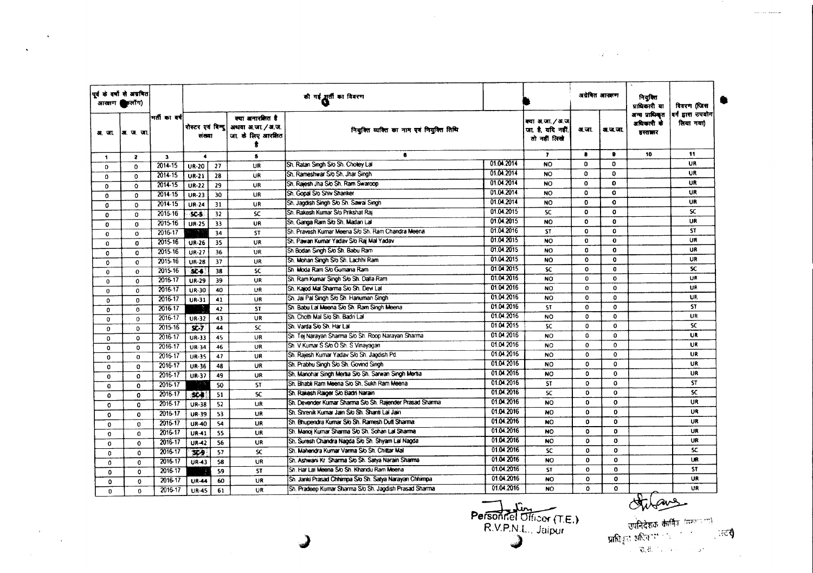|              | पूर्व के वर्षों से अग्रवित<br>आरतण किलोंग) |                |                             |    |                                                           | की गई सुतीं का विवरण                                      |            |                                                     | अयेकित आरक्षण |              | नियुक्ति<br>प्राधिकारी या               | विवरण (जिस                     |
|--------------|--------------------------------------------|----------------|-----------------------------|----|-----------------------------------------------------------|-----------------------------------------------------------|------------|-----------------------------------------------------|---------------|--------------|-----------------------------------------|--------------------------------|
|              | अस. जा.  अस. ज. जा.                        | । मतौं का वर्ष | रोस्टर एवं विन्द।<br>संख्या |    | क्या अनारशित है<br>अथवा अ.जा. / अ.ज.<br>जा के लिए आरक्षित | नियुक्ति व्यक्ति का नाम एवं नियुक्ति तिथि                 |            | क्या अ.जा./अ.ज<br>जा. है, यदि नहीं,<br>तो नहीं लिखे | अ.जा.         | अ.ज.जा.      | अन्य प्राधिकृत<br>अधिकारी के<br>डस्तानर | वर्ग द्वारा उपयोग<br>लिया गया) |
| $\mathbf{1}$ | $\mathbf{z}$                               | $\mathbf{3}$   | $\blacktriangleleft$        |    | $\bullet$                                                 | 6                                                         |            | $\mathbf{r}$                                        | 8             | $\bullet$    | 10                                      | 11                             |
| $\Omega$     | $\Omega$                                   | $2014 - 15$    | <b>UR-20</b>                | 27 | UR                                                        | Sh. Ratan Singh S/o Sh. Choley Lal                        | 01.04.2014 | <b>NO</b>                                           | $\Omega$      | O            |                                         | <b>UR</b>                      |
| 0            | $\Omega$                                   | 2014-15        | UR-21                       | 28 | UR                                                        | Sh. Rameshwar S/o Sh. Jhar Singh                          | 01.04.2014 | <b>NO</b>                                           | $\Omega$      | $\Omega$     |                                         | <b>UR</b>                      |
| $\Omega$     | $\Omega$                                   | 2014-15        | <b>UR-22</b>                | 29 | <b>UR</b>                                                 | Sh. Rajesh Jha S/o Sh. Ram Swaroop                        | 01.04.2014 | <b>NO</b>                                           | $\mathbf 0$   | $\mathbf 0$  |                                         | UR                             |
| 0            | $\circ$                                    | 2014-15        | <b>UR-23</b>                | 30 | UR                                                        | Sh. Gopal S/o Shiv Shanker                                | 01.04.2014 | <b>NO</b>                                           | $\Omega$      | $\bf{0}$     |                                         | UR                             |
| 0            | $\mathbf 0$                                | 2014-15        | <b>UR-24</b>                | 31 | UR                                                        | Sh. Jagdish Singh S/o Sh. Sawai Singh                     | 01.04.2014 | <b>NO</b>                                           | 0             | $\mathbf o$  |                                         | UR                             |
| 0            | $\Omega$                                   | 2015-16        | <b>SC-5</b>                 | 32 | SC                                                        | Sh. Rakesh Kumar S/o Prikshat Rai                         | 01.04.2015 | SC                                                  | $\mathbf 0$   | $\mathbf 0$  |                                         | SC.                            |
| O            | $\Omega$                                   | 2015 16        | <b>UR-25</b>                | 33 | UR                                                        | Sh. Ganga Ram S/o Sh. Madan Lal                           | 01.04.2015 | <b>NO</b>                                           | 0             | $\bf{0}$     |                                         | UR                             |
| $\mathbf{O}$ | $\Omega$                                   | 2016-17        |                             | 34 | <b>ST</b>                                                 | Sh. Pravesh Kumar Meena S/o Sh. Ram Chandra Meena         | 01.04.2016 | ST                                                  | $\mathbf{o}$  | $\mathbf{0}$ |                                         | <b>ST</b>                      |
| 0            | 0                                          | 2015-16        | <b>UR-26</b>                | 35 | UR                                                        | Sh. Pawan Kumar Yadav S/o Raj Mal Yadav                   | 01.04.2015 | <b>NO</b>                                           | $\mathbf{0}$  | $\mathbf 0$  |                                         | UR                             |
| $\mathbf{0}$ | $\Omega$                                   | 2015-16        | <b>UR-27</b>                | 36 | UR                                                        | Sh Bodan Singh S/o Sh. Babu Ram                           | 01.04.2015 | <b>NO</b>                                           | 0             | $\mathbf 0$  |                                         | UR                             |
| 0            | $\mathbf o$                                | 2015.16        | <b>UR-28</b>                | 37 | UR                                                        | Sh. Mohan Singh S/o Sh. Lachhi Ram                        | 01.04.2015 | <b>NO</b>                                           | $\mathbf{0}$  | $\bf{0}$     |                                         | UR                             |
| $\mathbf 0$  | 0                                          | 2015-16        | $SC-6$                      | 38 | SC                                                        | Sh. Moda Ram S/o Gumana Ram                               | 01.04.2015 | SC.                                                 | $\mathbf{o}$  | $\mathbf{0}$ |                                         | <b>SC</b>                      |
| 0            | 0                                          | 2016-17        | <b>UR-29</b>                | 39 | <b>UR</b>                                                 | Sh. Ram Kumar Singh S/o Sh. Dalla Ram                     | 01.04.2016 | <b>NO</b>                                           | 0             | 0            |                                         | UR                             |
| $\mathbf 0$  | $\mathbf 0$                                | 2016-17        | <b>UR-30</b>                | 40 | UR                                                        | Sh. Kajod Mal Sharma S/o Sh. Devi Lal                     | 01.04.2016 | <b>NO</b>                                           | 0             | 0            |                                         | UR                             |
| $\mathbf 0$  | $\mathbf{o}$                               | 2016-17        | UR-31                       | 41 | UR                                                        | Sh. Jai Pal Singh S/o Sh. Hanuman Singh                   | 01.04.2016 | <b>NO</b>                                           | 0             | $\Omega$     |                                         | UR.                            |
| 0            | $\mathbf 0$                                | 2016-17        |                             | 42 | <b>ST</b>                                                 | Sh. Babu Lal Meena S/o Sh. Ram Singh Meena                | 01.04.2016 | <b>ST</b>                                           | 0             | $\Omega$     |                                         | <b>ST</b>                      |
| $\mathbf 0$  | $\Omega$                                   | 2016-17        | UR-32                       | 43 | UR                                                        | Sh. Choth Mal S/o Sh. Badri Lai                           | 01.04.2016 | <b>NO</b>                                           | $\circ$       | $\Omega$     |                                         | UR                             |
| $\mathbf 0$  | $\mathbf 0$                                | 2015-16        | $5C-7$                      | 44 | <b>SC</b>                                                 | Sh. Varda S/o Sh. Har Lal                                 | 01.04.2015 | <b>SC</b>                                           | 0             | $\mathbf 0$  |                                         | <b>SC</b>                      |
| 0            | $\mathbf 0$                                | 2016-17        | UR-33                       | 45 | UR                                                        | Sh. Tej Narayan Sharma Sio Sh. Roop Narayan Sharma        | 01.04.2016 | <b>NO</b>                                           | 0             | $\Omega$     |                                         | <b>UR</b>                      |
| $\mathbf{0}$ | $\Omega$                                   | 2016-17        | UR-34                       | 46 | UR                                                        | Sh. V. Kumar S S/o O Sh. S Vinayagan                      | 01.04.2016 | <b>NO</b>                                           | $\mathbf{o}$  | $\mathbf 0$  |                                         | UR                             |
| 0            | $\bf{0}$                                   | 2016-17        | <b>UR-35</b>                | 47 | UR                                                        | Sh. Rajesh Kumar Yadav S/o Sh. Jagdish Pd.                | 01.04.2016 | <b>NO</b>                                           | $\mathbf 0$   | $\mathbf{o}$ |                                         | UR                             |
| 0            | $\Omega$                                   | 2016-17        | <b>UR-36</b>                | 48 | UR                                                        | Sh. Prabhu Singh S/o Sh. Govind Singh                     | 01.04.2016 | <b>NO</b>                                           | $\mathbf{o}$  | $\Omega$     |                                         | UR                             |
| $\mathbf 0$  | $\mathbf 0$                                | 2016-17        | UR-37                       | 49 | UR                                                        | Sh. Manohar Singh Mertia S/o Sh. Sarwan Singh Mertia      | 01.04.2016 | <b>NO</b>                                           | 0             | $\bf{0}$     |                                         | UR                             |
| $\mathbf 0$  | $\mathbf 0$                                | 2016-17        |                             | 50 | <b>ST</b>                                                 | Sh. Bhabli Ram Meena S/o Sh. Sukh Ram Meena               | 01.04.2016 | <b>ST</b>                                           | 0             | 0            |                                         | <b>ST</b>                      |
| 0            | $\Omega$                                   | 2016-17        | $56-8$                      | 51 | <b>SC</b>                                                 | Sh. Rakesh Raiger S/o Badri Narain                        | 01.04.2016 | SC                                                  | 0             | 0            |                                         | <b>SC</b>                      |
| 0            | $\mathbf 0$                                | 2016-17        | <b>UR-38</b>                | 52 | <b>UR</b>                                                 | Sh. Devender Kurnar Sharma S/o Sh. Rajender Prasad Sharma | 01.04.2016 | <b>NO</b>                                           | $\bullet$     | $\mathbf 0$  |                                         | UR                             |
| 0            | O                                          | 2016-17        | UR-39                       | 53 | UR                                                        | Sh. Shrenik Kumar Jain S/o Sh. Shanti Lal Jain            | 01.04.2016 | <b>NO</b>                                           | $\mathbf 0$   | $\mathbf 0$  |                                         | <b>UR</b>                      |
| $\mathbf 0$  | $\mathbf{0}$                               | 2016-17        | <b>UR-40</b>                | 54 | UR                                                        | Sh. Bhupendra Kumar Sio Sh. Ramesh Dutt Sharma            | 01.04.2016 | <b>NO</b>                                           | $\mathbf{0}$  | 0            |                                         | <b>UR</b>                      |
| $\Omega$     | $\Omega$                                   | 2016-17        | UR-41                       | 55 | UR.                                                       | Sh. Manoj Kumar Sharma Sio Sh. Sohan Lai Sharma           | 01.04.2016 | <b>NO</b>                                           | $\mathbf{o}$  | $\mathbf 0$  |                                         | UR                             |
| $\mathbf o$  | $\Omega$                                   | 2016-17        | <b>UR-42</b>                | 56 | <b>UR</b>                                                 | Sh. Suresh Chandra Nagda S/o Sh. Shyam Lai Nagda          | 01.04.2016 | <b>NO</b>                                           | 0             | $\mathbf{o}$ |                                         | UR                             |
| $\mathbf{o}$ | 0                                          | 2016-17        | 359                         | 57 | <b>SC</b>                                                 | Sh. Mahendra Kumar Varma S/o Sh. Chittar Mal              | 01.04.2016 | <b>SC</b>                                           | 0             | $\mathbf o$  |                                         | SC.                            |
| $\Omega$     | $\mathbf{0}$                               | 2016-17        | UR-43                       | 58 | UR                                                        | Sh. Ashwani Kr. Sharma Sio Sh. Satya Narain Sharma        | 01.04.2016 | <b>NO</b>                                           | $\mathbf{0}$  | $\mathbf{0}$ |                                         | <b>UR</b>                      |
| $\Omega$     | 0                                          | 2016-17        |                             | 59 | ST                                                        | Sh. Har Lai Meena S/o Sh. Khandu Ram Meena                | 01.04.2016 | ST                                                  | ٥             | 0            |                                         | ST                             |
| $\mathbf 0$  | 0                                          | 2016-17        | <b>UR-44</b>                | 60 | UR                                                        | Sh. Janki Prasad Chhimpa S/o Sh. Satya Narayan Chhimpa    | 01.04.2016 | <b>NO</b>                                           | $\mathbf{o}$  | 0            |                                         | UR                             |
| $\mathbf{0}$ | $\Omega$                                   | 2015-17        | <b>UR-45</b>                | 61 | <b>UR</b>                                                 | Sh. Pradeep Kumar Sharma S/o Sh. Jagdish Prasad Sharma    | 01.04.2016 | <b>NO</b>                                           | $\mathbf{o}$  | 0            |                                         | UR                             |

 $\mathcal{L}$ 

 $\sim 10^{-1}$ 

Personnel Officer (T.E.)

**Children de Commencer de Commence de la Commence de la Commence de la Commence de la Commence de la Commence de la Commence de la Commence de la Commence de la Commence de la Commence de la Commence de la Commence de la C** 

 $\mathcal{L}^{\text{max}}_{\text{max}}$  and  $\mathcal{L}^{\text{max}}_{\text{max}}$ 

 $\sim 4$ 

 $\epsilon$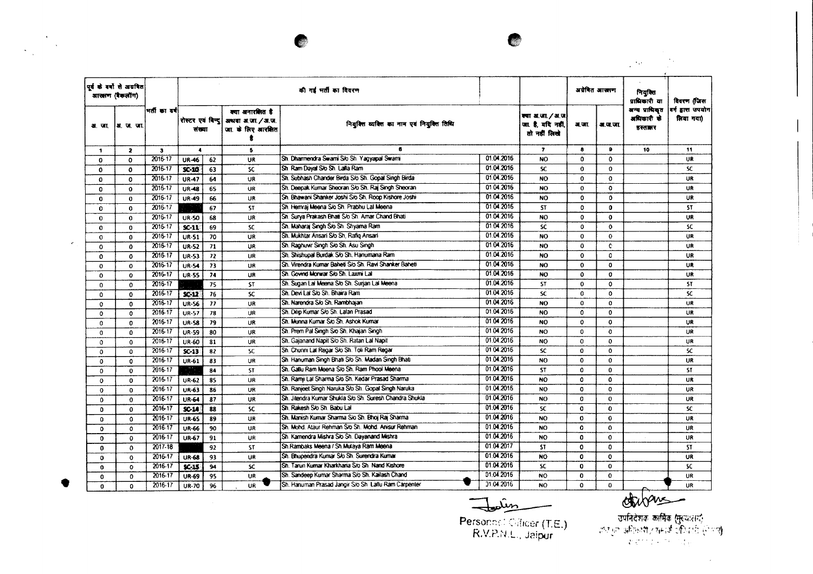|              | पूर्व के वर्षों से अग्रवित<br>आरक्षण (बैकलॉग) |                         |                      |                 |                                                                                | की गई भर्ती का विवरण                                    |            |                                                     |              | अग्रेषित आखाण | नियुक्ति<br>प्राधिकारी या               | विवरण (जिस                     |
|--------------|-----------------------------------------------|-------------------------|----------------------|-----------------|--------------------------------------------------------------------------------|---------------------------------------------------------|------------|-----------------------------------------------------|--------------|---------------|-----------------------------------------|--------------------------------|
| अज           | अ. ज. जा                                      | भर्ती का वर्ष।          | संख्या               |                 | क्या अनारशित है<br>रोस्टर एवं बिन्दु अध्यया अ.जा. / अ.ज.<br>जा. के लिए आरक्षित | नियुक्ति व्यक्ति का नाम एवं नियुक्ति तिथि               |            | क्या अ.जा./अ.ज<br>जा. है. यदि नहीं,<br>तो नहीं लिखे | अ.जा.        | अ.ज.जा.       | अन्य प्राधिकृत<br>अधिकारी के<br>हस्तानर | वर्ग द्वारा उपयोग<br>लिया गया) |
| 1            | $\mathbf{2}$                                  | $\overline{\mathbf{3}}$ | $\ddot{\phantom{a}}$ |                 | 5                                                                              | 6                                                       |            | $\overline{\mathbf{r}}$                             | 8            | ۰             | 10                                      | 11                             |
| 0            | 0                                             | 2016-17                 | <b>UR-46</b>         | 62              | UR                                                                             | Sh. Dharmendra Swami S/o Sh. Yagyapal Swami             | 01.04.2016 | <b>NO</b>                                           | O            | $\mathbf 0$   |                                         | <b>UR</b>                      |
| $\mathbf 0$  | 0                                             | 2016-17                 | $SC-10$              | 63              | <b>SC</b>                                                                      | Sh. Ram Dayal Slo Sh. Lalla Ram                         | 01.04.2016 | SC.                                                 | O            | $\Omega$      |                                         | SC.                            |
| 0            | 0                                             | 2016-17                 | <b>UR-47</b>         | 64              | UR                                                                             | Sh. Subhash Chander Birda S/o Sh. Gopal Singh Birda     | 01.04.2016 | <b>NO</b>                                           | $\bullet$    | $\mathbf o$   |                                         | UR                             |
| $\Omega$     | $\mathbf 0$                                   | 2016-17                 | <b>UR-48</b>         | 65              | <b>UR</b>                                                                      | Sh. Deepak Kumar Sheoran S/o Sh. Raj Singh Sheoran      | 01.04.2016 | <b>NO</b>                                           | $\mathbf{o}$ | $\mathbf{o}$  |                                         | UR                             |
| $\Omega$     | $\mathbf 0$                                   | 2016-17                 | <b>UR-49</b>         | 66              | UR                                                                             | Sh. Bhawani Shanker Joshi S/o Sh. Roop Kishore Joshi    | 01.04.2016 | <b>NO</b>                                           | $\Omega$     | 0             |                                         | UR                             |
| $\mathbf 0$  | $\mathbf{0}$                                  | 2016-17                 |                      | 67              | <b>ST</b>                                                                      | Sh. Hemraj Meena S/o Sh. Prabhu Lal Meena               | 01.04.2016 | <b>ST</b>                                           | o            | $\mathbf{0}$  |                                         | <b>ST</b>                      |
| $\Omega$     | 0                                             | 2016-17                 | <b>UR-50</b>         | 68              | <b>UR</b>                                                                      | Sh. Surya Prakash Bhati S/o Sh. Amar Chand Bhati        | 01.04.2016 | <b>NO</b>                                           | $\Omega$     | $\mathbf o$   |                                         | <b>UR</b>                      |
| O            | 0                                             | 2016-17                 | $SC-11$              | 69              | <b>SC</b>                                                                      | Sh. Maharai Singh S/o Sh. Shyama Ram                    | 01.04 2016 | <b>SC</b>                                           | 0            | $\mathbf o$   |                                         | <b>SC</b>                      |
| 0            | $\bf{0}$                                      | 2016-17                 | <b>UR-51</b>         | 70              | UR                                                                             | Sh. Mukhtar Ansari S/o Sh. Rafiq Ansari                 | 01.04.2016 | <b>NO</b>                                           | $\mathbf{o}$ | $\bullet$     |                                         | <b>UR</b>                      |
| $\Omega$     | $\mathbf{0}$                                  | 2016-17                 | <b>UR-52</b>         | 71              | UR                                                                             | Sh. Raghuwir Singh S/o Sh. Asu Singh                    | 01.04.2016 | <b>NO</b>                                           | $\Omega$     | c             |                                         | UR                             |
| $\Omega$     | 0                                             | 2016-17                 | <b>UR-53</b>         | 72              | UR                                                                             | Sh. Shishupal Burdak S/o Sh. Hanumana Ram               | 01.04.2016 | <b>NO</b>                                           | $\mathbf o$  | 0             |                                         | <b>UR</b>                      |
| $\mathbf 0$  | 0                                             | 2016-17                 | <b>UR-54</b>         | 73              | UR                                                                             | Sh. Virendra Kumar Baheti S/o Sh. Ravi Shanker Baheti   | 01.04.2016 | <b>NO</b>                                           | $\mathbf 0$  | $\mathbf{0}$  |                                         | UR                             |
| $\mathbf{o}$ | 0                                             | 2016-17                 | <b>UR-55</b>         | 74              | UR                                                                             | Sh. Govind Morwar S/o Sh. Laxmi Lal                     | 01.04.2016 | NO                                                  | $\mathbf{o}$ | $\bf{0}$      |                                         | UR                             |
| $\Omega$     | 0                                             | 2016-17                 |                      | 75              | <b>ST</b>                                                                      | Sh. Sugan Lai Meena S/o Sh. Surjan Lai Meena            | 01.04.2016 | <b>ST</b>                                           | $\mathbf{o}$ | $\mathbf{o}$  |                                         | <b>ST</b>                      |
| $\Omega$     | $\Omega$                                      | 2016-17                 | $SC-12$              | 76              | <b>SC</b>                                                                      | Sh. Devi Lal S/o Sh. Bhaira Ram                         | 01.04.2016 | <b>SC</b>                                           | o            | $\mathbf o$   |                                         | SC                             |
| $\Omega$     | 0                                             | 2016-17                 | <b>UR-56</b>         | $\overline{11}$ | UR                                                                             | Sh. Narendra S/o Sh. Rambhajan                          | 01.04.2016 | NO                                                  | $\mathbf o$  | 0             |                                         | <b>UR</b>                      |
| $\Omega$     | $\mathbf{o}$                                  | 2016-17                 | <b>UR-57</b>         | 78              | UR                                                                             | Sh. Dilip Kumar S/o Sh. Lalan Prasad                    | 01.04.2016 | <b>NO</b>                                           | $\Omega$     | $\mathbf{0}$  |                                         | UR                             |
| $\mathbf{0}$ | O                                             | 2016-17                 | <b>UR-58</b>         | 79              | UR                                                                             | Sh. Munna Kumar S/o Sh. Ashok Kumar                     | 0104.2016  | <b>NO</b>                                           | $\Omega$     | $\mathbf{o}$  |                                         | UR                             |
| $\Omega$     | 0                                             | 2016-17                 | <b>UR-59</b>         | 80              | <b>UR</b>                                                                      | Sh. Prem Pal Singh Sio Sh. Khajan Singh                 | 01.04.2016 | NO <sub>1</sub>                                     | 0            | 0             |                                         | UR                             |
| $\Omega$     | 0                                             | 2016-17                 | UR-60                | 81              | <b>UR</b>                                                                      | Sh. Gajanand Napit S/o Sh. Ratan Lal Napit              | 01.04.2016 | <b>NO</b>                                           | $\Omega$     | $\Omega$      |                                         | UR                             |
| $\Omega$     | $\Omega$                                      | 2016-17                 | $SC-13$              | 82              | <b>SC</b>                                                                      | Sh. Chunni Lat Regar S/o Sh. Toli Ram Regar             | 0104.2016  | <b>SC</b>                                           | $\Omega$     | $\Omega$      |                                         | SC.                            |
| $\mathbf 0$  | 0                                             | 2016-17                 | UR-61                | 83              | UR                                                                             | Sh. Hanuman Singh Bhati S/o Sh. Madan Singh Bhati       | 01.04.2016 | NO.                                                 | $\Omega$     | $\mathbf{0}$  |                                         | <b>UR</b>                      |
| $\Omega$     | 0                                             | 2016-17                 |                      | 84              | <b>ST</b>                                                                      | Sh. Gallu Ram Moena S/o Sh. Ram Phool Meena             | 01.04.2016 | <b>ST</b>                                           | 0            | $\Omega$      |                                         | <b>ST</b>                      |
| $\mathbf{o}$ | 0                                             | 2016-17                 | <b>UR-62</b>         | 85              | UR                                                                             | Sh. Ramji Lal Sharma S/o Sh. Kedar Prasad Sharma        | 01.04.2016 | <b>NO</b>                                           | o            | $\Omega$      |                                         | <b>UR</b>                      |
| $\Omega$     | $\mathbf{o}$                                  | 2016-17                 | UR-63                | 86              | UR                                                                             | Sh. Ranjeet Singh Naruka S/o Sh. Gopal Singh Naruka     | 01.04.2016 | <b>NO</b>                                           | $\Omega$     | $\Omega$      |                                         | <b>UR</b>                      |
| $\Omega$     | $\mathbf{o}$                                  | 2016-17                 | <b>UR-64</b>         | 87              | UR                                                                             | Sh. Jitendra Kumar Shukla S/o Sh. Suresh Chandra Shukla | 01.04.2016 | <b>NO</b>                                           | 0            | $\Omega$      |                                         | UR                             |
| $\Omega$     | $\mathbf{0}$                                  | 2016-17                 | $SC-14$              | 88              | <b>SC</b>                                                                      | Sh. Rakesh S/o Sh. Babu Lal                             | 01.04.2016 | SC.                                                 | $\Omega$     | $\Omega$      |                                         | SC.                            |
| $\Omega$     | $\Omega$                                      | 2016-17                 | <b>UR-65</b>         | 89              | UR                                                                             | Sh. Manish Kumar Sharma Sio Sh. Bhoj Raj Sharma         | 01.04.2016 | <b>NO</b>                                           | $\mathbf{o}$ | $\mathbf{0}$  |                                         | UR                             |
| $\Omega$     | $\Omega$                                      | 2016-17                 | UR-66                | 90              | <b>UR</b>                                                                      | Sh. Mohd. Ataur Rehman S/o Sh. Mohd. Anisur Rehman      | 01.04.2016 | <b>NO</b>                                           | $\mathbf o$  | $\Omega$      |                                         | UR.                            |
| $\mathbf{0}$ | $\mathbf{o}$                                  | 2016-17                 | UR-67                | 91              | UR                                                                             | Sh. Kamendra Mishra S/o Sh. Dayanand Mishra             | 01.04.2016 | <b>NO</b>                                           | $\Omega$     | $\Omega$      |                                         | UR.                            |
| $\Omega$     | $\Omega$                                      | $2017 - 18$             |                      | 92              | <b>ST</b>                                                                      | Sh.Rambaks Meena / Sh.Mulaya Ram Meena                  | 01.04.2017 | <b>ST</b>                                           | $\mathbf 0$  | $\Omega$      |                                         | <b>ST</b>                      |
| $\mathbf{0}$ | $\mathbf{o}$                                  | 2016-17                 | <b>UR-68</b>         | 93              | UR                                                                             | Sh. Bhupendra Kumar S/o Sh. Surendra Kumar              | 01.04.2016 | NO.                                                 | $\mathbf 0$  | $\Omega$      |                                         | <b>UR</b>                      |
| $\mathbf{o}$ | $\mathbf{o}$                                  | 2016-17                 | $5C-15$              | 94              | <b>SC</b>                                                                      | Sh. Tarun Kumar Kharkharia S/o Sh. Nand Kishore         | 01.04.2016 | <b>SC</b>                                           | $\mathbf{0}$ | $\Omega$      |                                         | SC.                            |
| $\mathbf{0}$ | $\Omega$                                      | 2016-17                 | <b>UR-69</b>         | 95              | UR                                                                             | Sh. Sandeep Kumar Sharma S/o Sh. Kailash Chand          | 01.04.2016 | <b>NO</b>                                           | 0            | $\Omega$      |                                         | <b>UR</b>                      |
| $\bf{0}$     | $\Omega$                                      | 2016-17                 | <b>UR-70</b>         | 96              | UR.                                                                            | Sh. Hanuman Prasad Jangir S/o Sh. Lallu Ram Carpenter   | 01.04.2016 | NO <sub>1</sub>                                     | $\Omega$     | $\Omega$      |                                         | <b>UR</b>                      |

( 80)

 $\label{eq:2} \frac{1}{\sqrt{2\pi}}\sum_{i=1}^N\frac{1}{\sqrt{2\pi}}\sum_{i=1}^N\frac{1}{\sqrt{2\pi}}\sum_{i=1}^N\frac{1}{\sqrt{2\pi}}\sum_{i=1}^N\frac{1}{\sqrt{2\pi}}\sum_{i=1}^N\frac{1}{\sqrt{2\pi}}\sum_{i=1}^N\frac{1}{\sqrt{2\pi}}\sum_{i=1}^N\frac{1}{\sqrt{2\pi}}\sum_{i=1}^N\frac{1}{\sqrt{2\pi}}\sum_{i=1}^N\frac{1}{\sqrt{2\pi}}\sum_{i=1}^N\frac{$ 

 $\bullet$ 

Julyn

Personnel Officer (T.E.)<br>R.V.P.N.L., Jaipur

(#

्दर्भावर्थः कार्मिकं (मुख्यासद)<br>जनिवेशकं कार्मिकं (पिचारी (नेपाल)<br>उपयोगी कार्यालय कर्णाटक

 $\sim 10^{11}$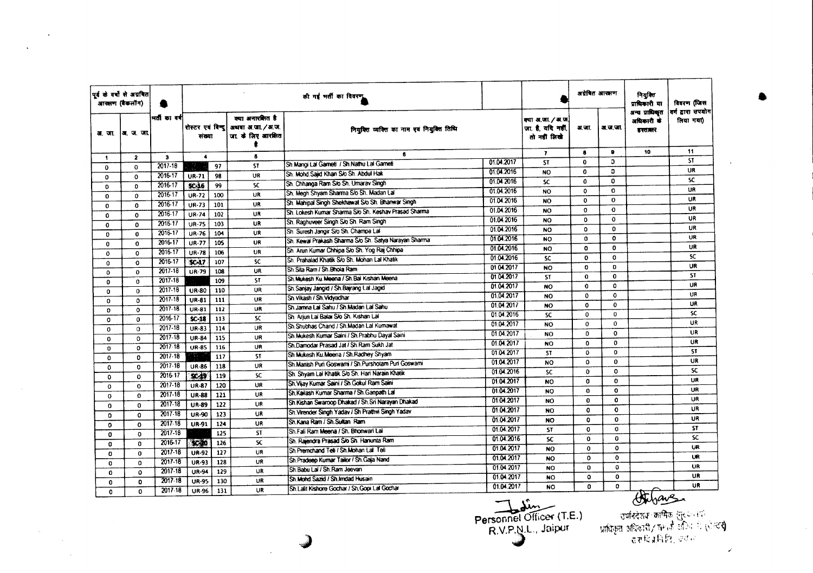|              | पूर्व के वर्षों से अग्रवित<br>आरक्षण (बैंकलॉग) |              |                            |     |                                                            | की गई भर्ती का विवरण                                  |            |                                                       | अयेबित आरझण  |              | नियुक्ति<br>प्राधिकारी या              | विवरण (जिस                     |
|--------------|------------------------------------------------|--------------|----------------------------|-----|------------------------------------------------------------|-------------------------------------------------------|------------|-------------------------------------------------------|--------------|--------------|----------------------------------------|--------------------------------|
| अ. जा.       | अ.ज.जा.                                        | मती का वर्ष  | रोस्टर एवं विन्द<br>संख्या |     | क्या अनारशित है<br>अथवा अ.जा. / अ.ज.<br>जा. के लिए आरक्षित | नियक्ति व्यक्ति का नाम एवं नियुक्ति तिथि              |            | क्या अ.जा. / अ.ज.<br>जा है. यदि नहीं,<br>तो नहीं लिखे | ज जा.        | अ.ज.जा.      | अन्य प्राधिकत<br>अधिकारी के<br>डस्ताबर | वर्ग द्वारा सपयोग<br>लिया गया) |
| $\mathbf{1}$ | $\mathbf{2}$                                   | $\mathbf{3}$ | $\ddot{\phantom{1}}$       |     | 6                                                          | 6                                                     |            | $\mathbf{7}$                                          | $\bullet$    | $\mathbf{9}$ | 10                                     | 11                             |
| 0            | $\Omega$                                       | $2017 - 18$  |                            | 97  | <b>ST</b>                                                  | Sh Mangi Lal Gameti / Sh Nathu Lal Gameti             | 01.04.2017 | <b>ST</b>                                             | $\mathbf{0}$ | o            |                                        | <b>ST</b>                      |
| $\mathbf{o}$ | $\Omega$                                       | 2016-17      | UR-71                      | 98  | UR                                                         | Sh. Mohd Saiid Khan S/o Sh. Abdul Hak                 | 01.04.2016 | <b>NO</b>                                             | $\mathbf{0}$ | D            |                                        | UR                             |
| 0            | $\Omega$                                       | 2016-17      | <b>SC-16</b>               | 99  | SC.                                                        | Sh. Chhanga Ram S/o Sh. Umarav Singh                  | 01.04.2016 | <b>SC</b>                                             | 0            | $\mathbf{0}$ |                                        | <b>SC</b>                      |
| 0            | 0                                              | 2016-17      | <b>UR-72</b>               | 100 | UR                                                         | Sh. Megh Shyam Sharma S/o Sh. Madan Lal               | 01.04.2016 | <b>NO</b>                                             | $\mathbf 0$  | $\Omega$     |                                        | UR<br>UR                       |
| $\mathbf{0}$ | 0                                              | 2016-17      | UR-73                      | 101 | UR                                                         | Sh. Mahipal Singh Shekhawat S/o Sh. Bhanwar Singh     | 01.04.2016 | <b>NO</b>                                             | $\mathbf{0}$ | $\bf{0}$     |                                        |                                |
| 0            | $\Omega$                                       | 2016-17      | <b>UR-74</b>               | 102 | UR                                                         | Sh. Lokesh Kumar Sharma S/o Sh. Keshav Prasad Sharma  | 01.04.2016 | <b>NO</b>                                             | $\Omega$     | $\mathbf{o}$ |                                        | UR                             |
| $\mathbf{o}$ | $\Omega$                                       | 2016-17      | <b>UR-75</b>               | 103 | <b>UR</b>                                                  | Sh. Raghuveer Singh S/o Sh. Ram Singh                 | 01.04.2016 | <b>NO</b>                                             | 0            | $\mathbf{o}$ |                                        | <b>UR</b><br>UR                |
| 0            | $\bf{0}$                                       | 2016-17      | UR-76                      | 104 | <b>UR</b>                                                  | Sh. Suresh Jangir S/o Sh. Champa Lal                  | 01.04.2016 | <b>NO</b>                                             | o            | $\mathbf 0$  |                                        | <b>UR</b>                      |
| 0            | $\mathbf 0$                                    | 2016-17      | UR-77                      | 105 | <b>UR</b>                                                  | Sh. Kewai Prakash Sharma S/o Sh. Satya Narayan Sharma | 01.04.2016 | <b>NO</b>                                             | $\Omega$     | $\mathbf{o}$ |                                        | UR                             |
| 0            | 0                                              | 2016-17      | <b>UR-78</b>               | 106 | UR                                                         | Sh. Arun Kumar Chhipa S/o Sh. Yog Raj Chhipa          | 01.04.2016 | <b>NO</b>                                             | 0            | $\Omega$     |                                        | <b>SC</b>                      |
| $\Omega$     | $\Omega$                                       | 2016-17      | <b>SC-17</b>               | 107 | <b>SC</b>                                                  | Sh. Prahalad Khatik S/o Sh. Mohan Lal Khatik          | 01.04.2016 | <b>SC</b>                                             | 0            | $\mathbf{o}$ |                                        | <b>UR</b>                      |
| $\mathbf 0$  | $\Omega$                                       | 2017-18      | <b>UR-79</b>               | 108 | <b>UR</b>                                                  | Sh Sita Ram / Sh. Bhoia Ram                           | 01.04.2017 | <b>NO</b>                                             | o            | $\mathbf{O}$ |                                        |                                |
| $\mathbf 0$  | $\Omega$                                       | 2017-18      |                            | 109 | <b>ST</b>                                                  | Sh Mukesh Ku Meena / Sh Bal Kishan Meena              | 01.04.2017 | <b>ST</b>                                             | $\mathbf{o}$ | $\Omega$     |                                        | <b>ST</b><br><b>UR</b>         |
| $\Omega$     | $\mathbf 0$                                    | 2017-18      | UR-80                      | 110 | UR                                                         | Sh.Sanjay Jangid / Sh.Bajrang Lal Jagid               | 01.04.2017 | <b>NO</b>                                             | $\mathbf{o}$ | $\Omega$     |                                        | UR                             |
| $\mathbf 0$  | $\circ$                                        | 2017-18      | <b>UR-81</b>               | 111 | UR                                                         | Sh Vikash / Sh Vidyadhar                              | 01.04.2017 | <b>NO</b>                                             | 0            | $\mathbf 0$  |                                        | UR                             |
| $\Omega$     | $\Omega$                                       | $2017 - 18$  | <b>UR-81</b>               | 112 | <b>UR</b>                                                  | Sh. Jamna Lal Sahu / Sh. Madan Lal Sahu               | 01.04.2017 | <b>NO</b>                                             | 0            | $\Omega$     |                                        | <b>SC</b>                      |
| $\mathbf 0$  | $\mathbf 0$                                    | 2016-17      | $SC-18$                    | 113 | SC                                                         | Sh. Arjun Lai Balai S/o Sh. Kishan Lai                | 01.04.2016 | SC                                                    | $\mathbf{o}$ | $\mathbf 0$  |                                        | UR                             |
| $\mathbf 0$  | $\Omega$                                       | $2017 - 18$  | <b>UR-83</b>               | 114 | UR                                                         | Sh Shubhas Chand / Sh Madan Lal Kumawat               | 01.04.2017 | <b>NO</b>                                             | $\mathbf{0}$ | $\Omega$     |                                        | UR                             |
| $\Omega$     | $\Omega$                                       | $2017 - 18$  | <b>UR-84</b>               | 115 | UR                                                         | Sh. Mukesh Kumar Saini / Sh. Prabhu Dayal Saini       | 01.04.2017 | <b>NO</b>                                             | 0            | $\mathbf{o}$ |                                        | UR                             |
| $\mathbf{0}$ | $\Omega$                                       | $2017 - 18$  | <b>UR-85</b>               | 116 | <b>UR</b>                                                  | Sh.Damodar Prasad Jat / Sh Ram Sukh Jat               | 01.04.2017 | <b>NO</b>                                             | $\Omega$     | $\mathbf{o}$ |                                        | ST.                            |
| $\Omega$     | $\Omega$                                       | $2017 - 18$  | 197                        | 117 | <b>ST</b>                                                  | Sh Mukesh Ku Meena / Sh Radhey Shyam                  | 01.04.2017 | <b>ST</b>                                             | $\Omega$     | $\Omega$     |                                        | <b>UR</b>                      |
| 0            | $\mathbf{0}$                                   | $2017 - 18$  | <b>UR-86</b>               | 118 | UR                                                         | Sh Manish Puri Goswami / Sh Purshotam Puri Goswami    | 01.04.2017 | <b>NO</b>                                             | $\mathbf 0$  | $\mathbf 0$  |                                        | SC.                            |
| 0            | $\Omega$                                       | 2016-17      | $9C-19$                    | 119 | <b>SC</b>                                                  | Sh. Shyam Lal Khatik S/o Sh. Hari Narain Khatik       | 01.04.2016 | <b>SC</b>                                             | $\Omega$     | $\Omega$     |                                        | UR                             |
| $\Omega$     | $\Omega$                                       | 2017-18      | <b>UR-87</b>               | 120 | UR                                                         | Sh Vijay Kumar Saini / Sh Gokul Ram Saini             | 01.04.2017 | <b>NO</b>                                             | $\mathbf{0}$ | $\mathbf 0$  |                                        | <b>UR</b>                      |
| 0            | $\mathbf{0}$                                   | 2017-18      | <b>UR-88</b>               | 121 | UR                                                         | Sh.Kailash Kumar Sharma / Sh.Ganpath Lal              | 01.04.2017 | <b>NO</b>                                             | $\mathbf{o}$ | $\mathbf{o}$ |                                        | <b>UR</b>                      |
| $\Omega$     | $\mathbf{O}$                                   | $2017 - 18$  | <b>UR-89</b>               | 122 | UR                                                         | Sh Kishan Swaroop Dhakad / Sh.Sri Narayan Dhakad      | 01.04.2017 | <b>NO</b>                                             | 0            | $\Omega$     |                                        | UR                             |
| $\Omega$     | $\Omega$                                       | 2017-18      | <b>UR-90</b>               | 123 | <b>UR</b>                                                  | Sh. Virender Singh Yadav / Sh Prathvi Singh Yadav     | 01.04.2017 | <b>NO</b>                                             | $\mathbf 0$  | $\mathbf{o}$ |                                        |                                |
| $\mathbf{0}$ | $\Omega$                                       | $2017 - 18$  | UR-91                      | 124 | UR                                                         | Sh.Kana Ram / Sh.Sultan Ram                           | 01.04.2017 | <b>NO</b>                                             | ٥            | $\Omega$     |                                        | <b>UR</b><br><b>ST</b>         |
| $\mathbf o$  | $\mathbf{O}$                                   | 2017-18      |                            | 125 | <b>ST</b>                                                  | Sh Fali Ram Meena / Sh. Bhonwari Lal                  | 01.04.2017 | <b>ST</b>                                             | 0            | $\Omega$     |                                        | <b>SC</b>                      |
| $\Omega$     | $\Omega$                                       | 2016-17      | 97.40                      | 126 | SC.                                                        | Sh. Raiendra Prasad Slo Sh. Hanunta Ram               | 01.04.2016 | SC.                                                   | $\mathbf{o}$ | 0            |                                        |                                |
| $\mathbf{o}$ | $\mathbf{0}$                                   | $2017 - 18$  | <b>UR-92</b>               | 127 | <b>UR</b>                                                  | Sh Premchand Teli / Sh Mohan Lal Teli                 | 01.04.2017 | NO                                                    | $\Omega$     | $\Omega$     |                                        | <b>UR</b>                      |
| $\Omega$     | 0                                              | $2017 - 18$  | <b>UR-93</b>               | 128 | UR                                                         | Sh. Pradeep Kumar Tailor / Sh. Gaja Nand              | 01.04.2017 | <b>NO</b>                                             | 0            | $\mathbf 0$  |                                        | UR.<br>UR                      |
| 0            | $\Omega$                                       | $2017 - 18$  | <b>UR-94</b>               | 129 | UR                                                         | Sh Babu Lai / Sh Ram Jeevan                           | 01.04.2017 | <b>NO</b>                                             | $\mathbf 0$  | $\mathbf 0$  |                                        |                                |
| $\bullet$    | $\mathbf{O}$                                   | 2017-18      | <b>UR-95</b>               | 130 | UR                                                         | Sh. Mohd. Sazid / Sh. Imdad Husain                    | 01.04.2017 | <b>NO</b>                                             | 0            | $\mathbf{o}$ |                                        | <b>UR</b>                      |
| $\mathbf{0}$ | 0                                              | 2017.18      | <b>UR-96</b>               | 131 | <b>UR</b>                                                  | Sh Lalit Kishore Gochar / Sh Gopi Lal Gochar          | 01.04.2017 | NO.                                                   | $\Omega$     | 0            |                                        | <b>UR</b>                      |
|              |                                                |              |                            |     |                                                            |                                                       |            | A.                                                    |              |              | thihave                                |                                |

 $\mathcal{A}^{\pm}$ 

 $\alpha_{\rm c}$ 

 $\sim 10^7$ 

Personnel Officer (T.E.)<br>R.V.P.N.L., Jaipur

्चर्यभदेशक कार्मिक (सुरणनम्)<br>- प्राधिकृत अधिकारी/ मंगाक कार्यन्ता (सेल्टर्**र)**<br>- तुःशाचित्रुनिर्हिते, अर्थान

 $\mathcal{L}$ 

•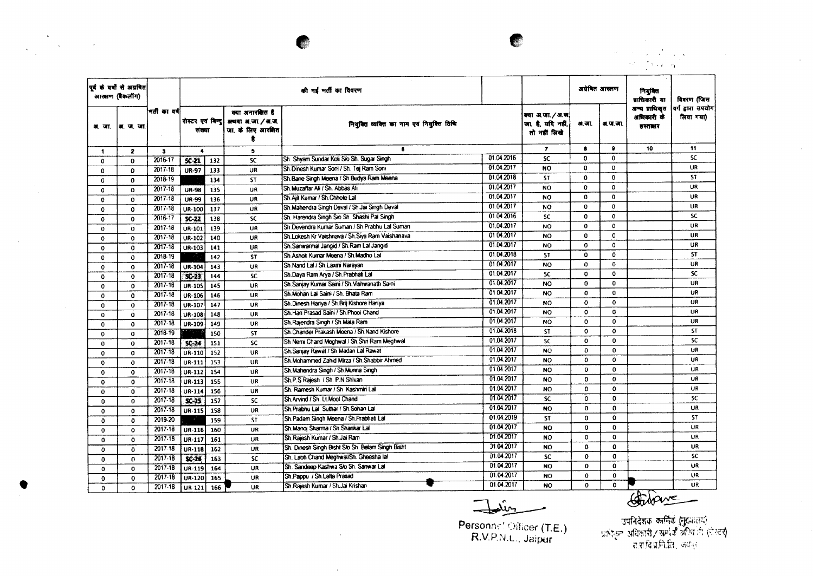• ', . <sup>~</sup> ",

 $\sim 10^{-1}$ 

 $\sim 10^6$ 

|                                      | पूर्व के वर्षों से अग्रवित<br>आरत्नण (बैकलॉग) |                                   |                                     |                   |                                                            | की गई भर्ती का विवरण                                                                                    |                                        |                                                      | अवेबित आरक्षण                          |                                         | नियमित<br>प्राधिकारी या                 | विवरण (जिस                     |
|--------------------------------------|-----------------------------------------------|-----------------------------------|-------------------------------------|-------------------|------------------------------------------------------------|---------------------------------------------------------------------------------------------------------|----------------------------------------|------------------------------------------------------|----------------------------------------|-----------------------------------------|-----------------------------------------|--------------------------------|
|                                      | अर. जा.  अर. ज. जा.                           | भर्ती का वर्ष                     | रोस्टर एवं बिन्द<br>संख्या          |                   | क्या अनारतित है<br>अथवा अ.जा. / अ.ज.<br>जा. के लिए आरक्षित | नियुक्ति व्यक्ति का नाम एवं नियुक्ति तिथि                                                               |                                        | क्या अ.जा. / अ.ज<br>जा है. यदि नहीं,<br>तो नहीं लिखे | अ.जा.                                  | <b>अ. ज. जा.</b>                        | अन्य प्राधिकृत<br>अधिकारी के<br>हस्तलार | वर्ग द्वारा उपयोग<br>लिया गया) |
| $\mathbf{1}$                         | $\overline{\mathbf{z}}$                       | $\mathbf{3}$                      | $\blacktriangle$                    |                   | 5                                                          | 6                                                                                                       |                                        | $\mathbf{r}$                                         | $\bullet$                              | $\bullet$                               | 10                                      | 11                             |
| $\mathbf{0}$                         | $\Omega$                                      | 2016-17                           | $5C-21$                             | 132               | <b>SC</b>                                                  | Sh. Shyam Sundar Koli S/o Sh. Sugar Singh                                                               | 01.04.2016                             | <b>SC</b>                                            | $\mathbf 0$                            | $\mathbf 0$                             |                                         | $\overline{\mathsf{sc}}$       |
| 0                                    | O                                             | 2017-18                           | <b>UR-97</b>                        | 133               | <b>UR</b>                                                  | Sh.Dinesh Kumar Soni / Sh. Tej Ram Soni                                                                 | 01.04.2017                             | <b>NO</b>                                            | $\Omega$                               | 0                                       |                                         | UR                             |
| $\mathbf 0$                          | $\mathbf{0}$                                  | 2018-19                           |                                     | 134               | <b>ST</b>                                                  | Sh Bane Singh Meena / Sh Budya Ram Meena                                                                | 01.04.2018                             | <b>ST</b>                                            | $\mathbf{0}$                           | $\mathbf 0$                             |                                         | <b>ST</b>                      |
| 0                                    | $\Omega$                                      | 2017-18                           | <b>UR-98</b>                        | 135               | UR                                                         | Sh.Muzaffar Ali / Sh. Abbas Ali                                                                         | 01.04.2017                             | <b>NO</b>                                            | 0                                      | $\Omega$                                |                                         | UR                             |
| 0                                    | $\Omega$                                      | 2017.18                           | <b>UR-99</b>                        | 136               | UR                                                         | Sh Ailt Kumar / Sh Chhote Lal                                                                           | 01.04.2017                             | <b>NO</b>                                            | $\mathbf{0}$                           | $\mathbf{o}$                            |                                         | <b>UR</b>                      |
| $\mathbf 0$                          | ٥                                             | 2017-18                           | UR-100                              | 137               | UR                                                         | Sh.Mahendra Singh Deval / Sh.Jai Singh Deval                                                            | 01.04.2017                             | <b>NO</b>                                            | $\Omega$                               | $\mathbf{0}$                            |                                         | <b>UR</b>                      |
| $\mathbf o$                          | $\Omega$                                      | 2016-17                           | $SC-22$                             | 138               | SC.                                                        | Sh. Harendra Singh Sio Sh. Shashi Pal Singh                                                             | 01 04:2016                             | <b>SC</b>                                            | 0                                      | $\mathbf{o}$                            |                                         | SC.                            |
| $\mathbf 0$                          | 0                                             | 2017-18                           | UR-101                              | 139               | UR                                                         | Sh Devendra Kumar Suman / Sh Prabhu Lal Suman                                                           | 01.04.2017                             | <b>NO</b>                                            | $\mathbf 0$                            | $\mathbf{0}$                            |                                         | UR.                            |
| 0                                    | 0                                             | $2017 - 18$                       | UR-102                              | 140               | <b>UR</b>                                                  | Sh.Lokesh Kr Vaishnava / Sh.Siya Ram Vaishanava                                                         | 0104.2017                              | <b>NO</b>                                            | $\mathbf{0}$                           | C                                       |                                         | <b>UR</b>                      |
| $\Omega$                             | $\Omega$                                      | 2017-18                           | <b>UR-103</b>                       | 141               | <b>UR</b>                                                  | Sh.Sanwarmal Jangid / Sh.Ram Lal Jangid                                                                 | 01.04.2017                             | <b>NO</b>                                            | 0                                      | $\Omega$                                |                                         | UR                             |
| 0                                    | 0                                             | 2018-19                           |                                     | 142               | ST.                                                        | Sh. Ashok Kumar Meena / Sh. Madho Lai                                                                   | 01.04.2018                             | <b>ST</b>                                            | 0                                      | 0                                       |                                         | <b>ST</b>                      |
| $\mathbf{o}$                         | $\mathbf 0$                                   | $2017 - 18$                       | UR-104                              | 143               | UR                                                         | Sh Nand Lal / Sh Laxmi Narayan                                                                          | 01.04.2017                             | <b>NO</b>                                            | $\mathbf{o}$                           | $\mathbf 0$                             |                                         | UR                             |
| $\Omega$                             | $\mathbf{o}$                                  | 2017.18                           | SO(5)                               | 144               | <b>SC</b>                                                  | Sh.Daya Ram Arya / Sh.Prabhati Lai                                                                      | 01.04.2017                             | SC.                                                  | $\mathbf{o}$                           | 0                                       |                                         | SC                             |
| 0                                    | $\Omega$                                      | 2017-18                           | <b>UR-105</b>                       | 145               | UR                                                         | Sh Saniav Kumar Saini / Sh. Vishwanath Saini                                                            | 01 04 2017                             | <b>NO</b>                                            | $\mathbf{0}$                           | 0                                       |                                         | <b>UR</b>                      |
| 0                                    | 0                                             | 2017-18                           | UR-106                              | 146               | UR                                                         | Sh.Mohan Lal Saini / Sh. Bhata Ram                                                                      | 01.04.2017                             | <b>NO</b>                                            | $\mathbf{O}$                           | $\Omega$                                |                                         | UR                             |
| 0                                    | 0                                             | 2017-18                           | UR-107                              | 147               | UR                                                         | Sh.Dinesh Hariya / Sh.Brij Kishore Hariya                                                               | 01.04.2017                             | NO.                                                  | $\mathbf{o}$                           | $\Omega$                                |                                         | <b>UR</b>                      |
| 0                                    | $\mathbf 0$                                   | $2017 - 18$                       | UR-108                              | 148               | UR.                                                        | Sh.Han Prasad Saini / Sh.Phool Chand                                                                    | 01.04.2017                             | <b>NO</b>                                            | Ō.                                     | 0                                       |                                         | UR                             |
| 0                                    | $\Omega$                                      | 2017.18                           | UR-109                              | 149               | UR                                                         | Sh.Rajendra Singh / Sh.Mala Ram                                                                         | 01.04.2017                             | <b>NO</b>                                            | $\mathbf{o}$                           | 0                                       |                                         | UR                             |
| 0                                    | $\Omega$                                      | 2018-19                           |                                     | 150               | <b>ST</b>                                                  | Sh Chander Prakash Meena / Sh Nand Kishore                                                              | 01.04.2018                             | <b>ST</b>                                            | $\mathbf{o}$                           | $\bullet$                               |                                         | ST                             |
| $\mathbf 0$                          | 0                                             | $2017 - 18$                       | $SC-24$                             | 151               | <b>SC</b>                                                  | Sh Nemi Chand Meghwal / Sh. Shri Ram Meghwal                                                            | 01.04.2017                             | <b>SC</b>                                            | O                                      | $\Omega$                                |                                         | <b>SC</b>                      |
| $\mathbf 0$                          | $\mathbf 0$                                   | 2017.18                           | UR-110                              | 152               | UR                                                         | Sh. Sanjay Rawat / Sh. Madan Lat Rawat                                                                  | 01.04.2017                             | <b>NO</b>                                            | 0                                      | 0                                       |                                         | <b>UR</b>                      |
| $\mathbf 0$                          | $\mathbf 0$                                   | 2017.18                           | UR-111                              | 153               | UR                                                         | Sh. Mohammed Zahid Mirza / Sh. Shabbir Ahmed                                                            | 01.04.2017                             | <b>NO</b>                                            | 0                                      | $\mathbf{0}$                            |                                         | UR.                            |
| $\Omega$                             | $\Omega$                                      | 2017-18                           | <b>UR-112</b>                       | 154               | UR                                                         | Sh. Mahendra Singh / Sh. Munna Singh                                                                    | 01.04.2017                             | <b>NO</b>                                            | 0                                      | $\mathbf 0$                             |                                         | UR                             |
| $\mathbf 0$                          | 0                                             | 2017-18                           | UR-113                              | 155               | UR                                                         | Sh.P.S.Rajesh / Sh. P.N.Shivan                                                                          | 01.04.2017                             | <b>NO</b>                                            | 0                                      | $\mathbf{o}$                            |                                         | UR                             |
| $\bf{0}$                             | $\Omega$                                      | $2017 - 18$                       | UR-114                              | 156               | UR                                                         | Sh. Ramesh Kumar / Sh. Kashmiri Lal                                                                     | 01.04.2017                             | <b>NO</b>                                            | o                                      | $\mathbf{o}$                            |                                         | UR                             |
| $\mathbf{O}$                         | $\mathbf{0}$                                  | 2017-18                           | $SC-25$                             | 157               | <b>SC</b>                                                  | Sh.Arvind / Sh. Lt.Mool Chand                                                                           | 01.04.2017                             | <b>SC</b>                                            | 0                                      | $\mathbf{0}$                            |                                         | <b>SC</b>                      |
| $\Omega$                             | $\Omega$                                      | 2017-18                           | <b>UR-115</b>                       | 158               | UR                                                         | Sh. Prabhu Lal Suthar / Sh. Sohan Lal                                                                   | 01.04.2017                             | <b>NO</b>                                            | $\Omega$                               | $\mathbf 0$                             |                                         | UR                             |
|                                      | $\mathbf{0}$                                  | 2019-20                           |                                     | 159               | <b>ST</b>                                                  | Sh.Padam Singh Meena / Sh.Prabhati Lal                                                                  | 01.04.2019                             | <b>ST</b>                                            | 0                                      | $\mathbf 0$                             |                                         | <b>ST</b>                      |
| $\Omega$                             |                                               | $2017 - 18$                       | UR-116                              | 160               | <b>UR</b>                                                  | Sh. Manoj Sharma / Sh. Shankar Lal                                                                      | 01.04.2017                             | <b>NO</b>                                            | $\Omega$                               | $\Omega$                                |                                         | <b>UR</b>                      |
| $\Omega$                             | $\Omega$                                      | 2017-18                           |                                     |                   | UR                                                         | Sh. Rajesh Kumar / Sh. Jai Ram                                                                          | 01.04.2017                             | <b>NO</b>                                            | 0                                      | $\mathbf{o}$                            |                                         | UR                             |
| 0                                    | $\mathbf C$                                   | $2017 - 18$                       | UR-117                              | 161               |                                                            | Sh. Dinesh Singh Bisht S/o Sh. Belam Singh Bisht                                                        | 01.04.2017                             | <b>NO</b>                                            | 0                                      | 0                                       |                                         | UR                             |
| $\mathbf{0}$                         | 0                                             | 2017.18                           | UR-118                              | 162               | UR                                                         | Sh. Labh Chand Meghwai/Sh. Gheesha lal                                                                  | 01.04.2017                             | <b>SC</b>                                            | 0                                      | $\mathbf 0$                             |                                         | sc                             |
| $\mathbf 0$                          | $\Omega$                                      |                                   | $SC-26$                             | 163               | <b>SC</b>                                                  |                                                                                                         |                                        |                                                      |                                        |                                         |                                         | UR.                            |
|                                      |                                               |                                   |                                     |                   |                                                            |                                                                                                         |                                        |                                                      |                                        |                                         |                                         | UR                             |
|                                      |                                               |                                   |                                     |                   |                                                            |                                                                                                         |                                        |                                                      |                                        |                                         |                                         | <b>UR</b>                      |
| $\Omega$<br>$\mathbf{o}$<br>$\Omega$ | $\Omega$<br>$\mathbf 0$<br>$\Omega$           | $2017 - 18$<br>2017-18<br>2017.18 | <b>UR-119</b><br>$UR-120$<br>UR-121 | 164<br>165<br>166 | <b>UR</b><br>UR<br><b>UR</b>                               | Sh. Sandeep Kashwa S/o Sh. Sanwar Lal<br>Sh.Pappu / Sh.Lalta Prasad<br>Sh.Rajesh Kumar / Sh.Jai Krishan | 01.04.2017<br>01.04.2017<br>01.04.2017 | NO.<br><b>NO</b><br>NO.                              | $\bf{0}$<br>$\mathbf 0$<br>$\mathbf 0$ | $\mathbf 0$<br>$\Omega$<br>$\mathbf{O}$ |                                         |                                |

 $\ddot{\phantom{a}}$ 

 $\sim$ 

Personne' Oificer (T.E.) R.V.P.N.L., Jaipur

Company Company

•

 $\sim 10^{-10}$  km s  $^{-1}$ 

 $\mathbb{R}^2$ 

 $\sim 10^7$ 

 $\label{eq:2.1} \frac{1}{\sqrt{2}}\left(\frac{1}{\sqrt{2}}\right)^{2} \left(\frac{1}{\sqrt{2}}\right)^{2} \left(\frac{1}{\sqrt{2}}\right)^{2} \left(\frac{1}{\sqrt{2}}\right)^{2} \left(\frac{1}{\sqrt{2}}\right)^{2} \left(\frac{1}{\sqrt{2}}\right)^{2} \left(\frac{1}{\sqrt{2}}\right)^{2} \left(\frac{1}{\sqrt{2}}\right)^{2} \left(\frac{1}{\sqrt{2}}\right)^{2} \left(\frac{1}{\sqrt{2}}\right)^{2} \left(\frac{1}{\sqrt{2}}\right)^{2} \left(\$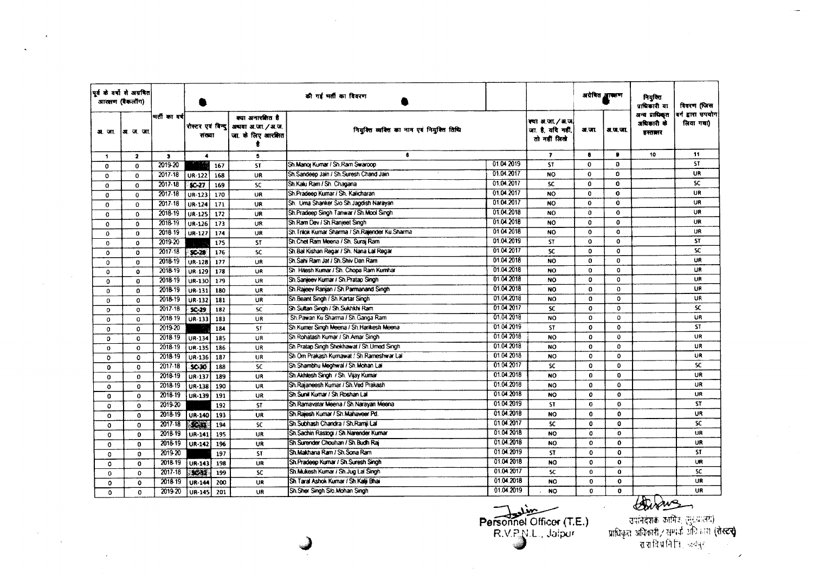|                | पूर्व के वर्षों से अग्रवित<br>आरत्नण (बैकलॉग) |               |                             |     |                                                              | की गई भर्ती का विवरण                              |                          |                                                     | अग्रेषित आसाण |              | नियुक्ति<br>प्राधिकारी या               | विवरण (जिस                     |
|----------------|-----------------------------------------------|---------------|-----------------------------|-----|--------------------------------------------------------------|---------------------------------------------------|--------------------------|-----------------------------------------------------|---------------|--------------|-----------------------------------------|--------------------------------|
| <b>31. जा.</b> | अ. ज. जा.                                     | भर्ती का वर्ष | रोस्टर एवं विन्द <br>संख्या |     | क्या अनारक्षित है<br>अथवा अ.जा. / अ.ज.<br>जा. के लिए आरक्षित | नियुक्ति व्यक्ति का नाम एवं नियुक्ति तिथि         |                          | क्या अ.जा./अ.ज<br>जा. है, यदि नहीं,<br>तो नहीं लिखे | अ.जा.         | अ.ज.जा.      | अन्य प्राधिकृत<br>अधिकारी के<br>हस्तबार | वर्ग द्वारा उपयोग<br>लिया गया) |
| 1.             | $\mathbf{z}$                                  | $\mathbf{3}$  | $\blacktriangleleft$        |     | 5                                                            | -6                                                |                          | $\overline{\mathbf{r}}$                             | 8             | $\bullet$    | 10                                      | 11                             |
| $\mathbf 0$    | $\bf{0}$                                      | 2019-20       |                             | 167 | <b>ST</b>                                                    | Sh.Manoj Kumar / Sh.Ram Swaroop                   | 01.04.2019               | <b>ST</b>                                           | $\Omega$      | Ð            |                                         | <b>ST</b>                      |
| $\mathbf 0$    | $\Omega$                                      | 2017-18       | <b>UR-122</b>               | 168 | UR                                                           | Sh Sandeep Jain / Sh Suresh Chand Jain            | 01.04.2017               | NO.                                                 | $\mathbf 0$   | O            |                                         | <b>UR</b>                      |
| $\mathbf 0$    | $\Omega$                                      | $2017 - 18$   | $SC-27$                     | 169 | SC                                                           | Sh.Kalu Ram / Sh. Chagana                         | 01.04.2017               | <b>SC</b>                                           | $\mathbf{a}$  | $\mathbf{0}$ |                                         | SC                             |
| 0              | $\mathbf 0$                                   | 2017-18       | UR-123                      | 170 | UR                                                           | Sh Pradeep Kumar / Sh. Kalicharan                 | 01.04.2017               | <b>NO</b>                                           | $\mathbf 0$   | $\bf{0}$     |                                         | <b>UR</b>                      |
| $^{\circ}$     | $\Omega$                                      | 2017-18       | UR-124                      | 171 | UR                                                           | Sh. Uma Shanker S/o Sh Jagdish Narayan            | 01.04.2017               | <b>NO</b>                                           | 0             | $\mathbf{o}$ |                                         | UR                             |
| $\Omega$       | $\mathbf 0$                                   | 2018-19       | <b>UR-125</b>               | 172 | <b>UR</b>                                                    | Sh. Pradeep Singh Tanwar / Sh. Mool Singh         | 01.04.2018               | <b>NO</b>                                           | 0             | $\mathbf 0$  |                                         | UR                             |
| $\mathbf{o}$   | $\mathbf 0$                                   | 2018-19       | UR-126                      | 173 | UR                                                           | Sh Ram Dev / Sh Ranjeet Singh                     | 01.04.2018               | NO.                                                 | 0             | $\mathbf{0}$ |                                         | UR                             |
| $\mathbf 0$    | $\Omega$                                      | 2018-19       | <b>UR-127</b>               | 174 | <b>UR</b>                                                    | Sh. Trilok Kumar Sharma / Sh. Rajender Ku. Sharma | 01.04.2018               | <b>NO</b>                                           | $\Omega$      | $\mathbf{o}$ |                                         | UR                             |
| $\mathbf 0$    | Ó                                             | 2019-20       |                             | 175 | <b>ST</b>                                                    | Sh.Chet Ram Meena / Sh. Surai Ram                 | 01.04.2019               | <b>ST</b>                                           | $\mathbf{o}$  | $\mathbf{o}$ |                                         | <b>ST</b>                      |
| $\circ$        | $\Omega$                                      | $2017 - 18$   | $$x-x$                      | 176 | <b>SC</b>                                                    | Sh Bai Kishan Regar / Sh. Nana Lal Regar          | 01.04.2017               | <b>SC</b>                                           | $\mathbf{0}$  | 0            |                                         | <b>SC</b>                      |
| 0              | $\Omega$                                      | 2018-19       | UR-128                      | 177 | UR                                                           | Sh.Sahi Ram Jat / Sh.Shiv Dan Ram                 | 01.04.2018               | <b>NO</b>                                           | $\mathbf 0$   | $\mathbf 0$  |                                         | UR                             |
| $\Omega$       | $\mathbf{o}$                                  | 2018-19       | UR-129                      | 178 | UR                                                           | Sh. Hitesh Kumar / Sh. Chopa Ram Kumhar           | 01.04.2018               | <b>NO</b>                                           | $\mathbf{0}$  | $\mathbf{0}$ |                                         | UR                             |
| $\circ$        | $\bf{0}$                                      | 2018-19       | UR-130                      | 179 | UR                                                           | Sh.Sanjeev Kumar / Sh.Pratap Singh                | 01.04.2018               | <b>NO</b>                                           | o             | $\mathbf 0$  |                                         | UR                             |
| 0              | $\mathbf{0}$                                  | 2018-19       | UR-131                      | 180 | UR                                                           | Sh.Rajeev Ranjan / Sh.Parmanand Singh             | 01.04.2018               | <b>NO</b>                                           | 0             | $\mathbf 0$  |                                         | UR                             |
| $\mathbf 0$    | $\Omega$                                      | 2018-19       | UR-132                      | 181 | <b>UR</b>                                                    | Sh.Beant Singh / Sh.Kartar Singh                  | 01.04.2018               | <b>NO</b>                                           | $\mathbf{o}$  | $\Omega$     |                                         | UR                             |
| $\Omega$       | $\mathbf{o}$                                  | 2017-18       | $SC-29$                     | 182 | <b>SC</b>                                                    | Sh. Sultan Singh / Sh. Sukhkhi Ram                | 01.04.2017               | <b>SC</b>                                           | $\mathbf{0}$  | $\mathbf 0$  |                                         | <b>SC</b>                      |
| $\mathbf 0$    | $\Omega$                                      | 2018-19       | UR-133                      | 183 | UR                                                           | Sh.Pawan Ku Sharma / Sh.Ganga Ram                 | 01.04.2018               | <b>NO</b>                                           | 0             | $\mathbf{o}$ |                                         | UR                             |
| $\mathbf 0$    | $\Omega$                                      | 2019-20       |                             | 184 | <b>ST</b>                                                    | Sh.Kumer Singh Meena / Sh.Harikesh Meena          | 01.04.2019               | <b>ST</b>                                           | $\mathbf 0$   | $\mathbf{o}$ |                                         | <b>ST</b>                      |
| $\Omega$       | $\mathbf{o}$                                  | 2018-19       | UR-134                      | 185 | <b>UR</b>                                                    | Sh Rohatash Kumar / Sh Amar Singh                 | 01.04.2018               | NO.                                                 | $\Omega$      | $\mathbf{o}$ |                                         | UR                             |
| $\mathbf 0$    | $\mathbf 0$                                   | 2018-19       | UR-135                      | 186 | <b>UR</b>                                                    | Sh.Pratap Singh Shekhawat / Sh.Umed Singh         | 01.04.2018               | <b>NO</b>                                           | $\mathbf 0$   | $\mathbf 0$  |                                         | UR                             |
| $\Omega$       | 0                                             | 2018-19       | UR-136                      | 187 | UR                                                           | Sh Om Prakash Kumawat / Sh Rameshwar Lal          | 01.04.2018               | <b>NO</b>                                           | $\Omega$      | $\mathbf{o}$ |                                         | UR                             |
| $\mathbf{0}$   | $\Omega$                                      | $2017 - 18$   | $SC-30$                     | 188 | SC                                                           | Sh.Shambhu Meghwai / Sh.Mohan Lai                 | 01.04.2017               | SC                                                  | $\Omega$      | $\mathbf{o}$ |                                         | SC                             |
| 0              | $\mathbf{0}$                                  | 2018-19       | UR-137                      | 189 | UR                                                           | Sh.Akhlesh Singh / Sh. Vijay Kumar                | 01.04.2018               | <b>NO</b>                                           | $\mathbf{0}$  | 0            |                                         | <b>UR</b>                      |
| $\circ$        | 0                                             | 2018-19       | UR-138                      | 190 | UR                                                           | Sh.Rajaneesh Kumar / Sh.Ved Prakash               | 01.04.2018               | <b>NO</b>                                           | 0             | $\Omega$     |                                         | UR                             |
| $\mathbf 0$    | 0                                             | 2018-19       | UR-139                      | 191 | UR                                                           | Sh.Sunil Kumar / Sh.Roshan Lal                    | 01.04.2018               | NO.                                                 | $\mathbf{o}$  | $\mathbf{o}$ |                                         | UR                             |
| $\mathbf 0$    | $\mathbf{0}$                                  | 2019-20       |                             | 192 | <b>ST</b>                                                    | Sh Ramavatar Meena / Sh Narayan Meena             | 01.04.2019               | <b>ST</b>                                           | $\bullet$     | $\mathbf o$  |                                         | <b>ST</b>                      |
| $\Omega$       | $\mathbf{0}$                                  | 2018-19       | UR-140                      | 193 | <b>UR</b>                                                    | Sh.Rajesh Kumar / Sh.Mahaveer Pd.                 | 01.04.2018               | <b>NO</b>                                           | $\mathbf 0$   | 0            |                                         | <b>UR</b>                      |
| $\Omega$       | $\mathbf{0}$                                  | 2017-18       | C 201                       | 194 | <b>SC</b>                                                    | Sh Subhash Chandra / Sh. Ramii Lai                | 01.04.2017               | SC.                                                 | $\mathbf{o}$  | $\mathbf{o}$ |                                         | <b>SC</b>                      |
| 0              | $\mathbf{0}$                                  | 2018-19       | UR-141                      | 195 | UR                                                           | Sh.Sachin Rastogi / Sh.Narender Kumar             | 01.04.2018               | <b>NO</b>                                           | $\mathbf{o}$  | $\mathbf{o}$ |                                         | UR                             |
| $\mathbf 0$    | $\mathbf 0$                                   | 2018-19       | $UR-142$                    | 196 | UR                                                           | Sh.Surender Chouhan / Sh.Budh Raj                 | 01.04.2018               | <b>NO</b>                                           | $\mathbf{0}$  | $\mathbf 0$  |                                         | UR                             |
| 0              | $\mathbf{0}$                                  | 2019-20       |                             | 197 | <b>ST</b>                                                    | Sh.Makhana Ram / Sh.Sona Ram                      | 01.04.2019               | <b>ST</b>                                           | $\mathbf{0}$  | $\mathbf 0$  |                                         | <b>ST</b>                      |
| $\bullet$      | $\mathbf 0$                                   | 2018-19       | <b>UR-143</b>               | 198 | UR                                                           | Sh.Pradeep Kumar / Sh.Suresh Singh                | 01.04.2018               | NO                                                  | O             | $\mathbf{o}$ |                                         | UR                             |
| $\bf{0}$       | 0                                             | 2017-18       | <b>SOFT</b>                 | 199 | <b>SC</b>                                                    | Sh.Mukesh Kumar / Sh.Jug Lal Singh                | 01.04.2017               | SC                                                  | o             | $\mathbf 0$  |                                         | SC                             |
| $\mathbf{0}$   | $\mathbf 0$                                   | 2018-19       | <b>UR-144</b>               | 200 | UR                                                           | Sh. Taral Ashok Kumar / Sh. Kalji Bhai            | 01.04.2018               | NO.                                                 | $\mathbf{0}$  | $\mathbf{o}$ |                                         | UR                             |
| $\Omega$       | $\Omega$                                      | 2019-20       | UR-145                      | 201 | UR                                                           | Sh.Sher Singh S/o.Mohan Singh                     | 01.04.2019               | <b>NO</b>                                           | 0             | $\mathbf{0}$ |                                         | <b>UR</b>                      |
|                |                                               |               |                             |     |                                                              |                                                   | $\sqrt{1 - \frac{1}{2}}$ |                                                     |               |              |                                         |                                |

 $\sim 10^7$ 

 $\epsilon$ 

 $\sim 10^7$ 

 $\frac{1}{2} \int_{\mathbb{R}^2} \left| \frac{d\mathbf{x}}{d\mathbf{x}} \right|^2 d\mathbf{x}$ 

 $\sim$ 

 $\ddot{\phantom{1}}$ 

Personnel Officer (T.E.)<br>R.V.P.N.L., Jaipur

उपनिदेशकं कार्मिकं (सुरुयालयं)<br>प्राधिकृतं अविकारी / सम्पर्कं अधिकारां (रोस्टर)<br>- रा रा विप्र नि नि : अवपुर  $\sim 10^{-1}$ 

 $\sim$ 

 $\mathcal{L}$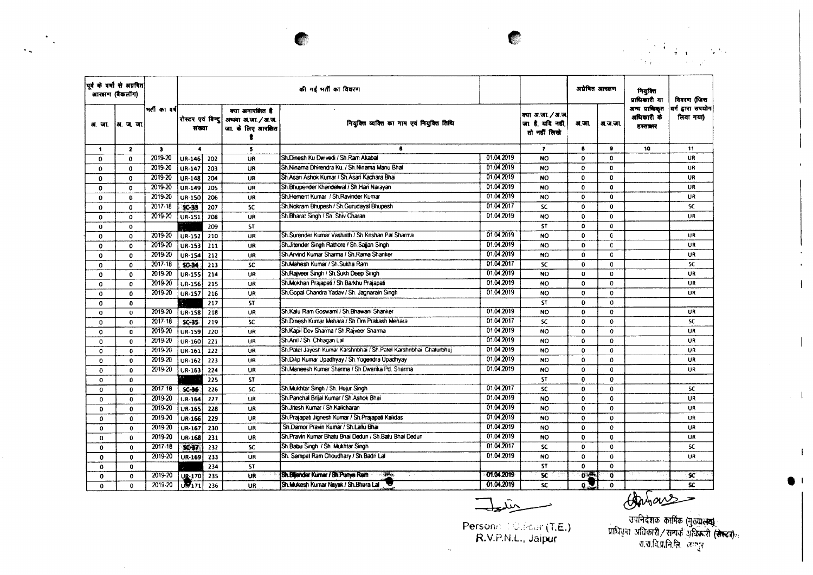" .

|              | पर्व के वर्षा से अग्रवित<br>आरझण (बैकलॉग) |              |                             |                  |                                                            | की गई भर्ती का विवरण                                              |            |                                                       | अप्रेषित आखाण   |                     | नियक्ति<br>प्राधिकारी या               | विवरण (जिस                   |
|--------------|-------------------------------------------|--------------|-----------------------------|------------------|------------------------------------------------------------|-------------------------------------------------------------------|------------|-------------------------------------------------------|-----------------|---------------------|----------------------------------------|------------------------------|
| अाजा         | ।अ.ज.जा                                   | मती का वर्ष  | रोस्टर एवं विन्दू<br>संख्या |                  | क्या अनारमित है<br>अथवा अ.जा. / अ.ज.<br>जा. के लिए आरक्षित | नियुक्ति व्यक्ति का नाम एवं नियुक्ति तिथि                         |            | क्या अ.जा. / अ.ज.<br>जा है. यदि नहीं.<br>तो नहीं लिखे | अ.जा.           | अ.ज.जा.             | अन्य प्राधिकृत<br>अधिकारी के<br>डरतातर | वर्ग डारा उपयोग<br>लिया गया) |
| -1           | $\mathbf{z}$                              | $\mathbf{3}$ | $\bullet$                   |                  | 5                                                          | 8                                                                 |            | $\overline{\phantom{a}}$                              | 8               | ۰                   | 10                                     | 11                           |
| 0            | $\mathbf{0}$                              | 2019-20      | <b>UR-146</b>               | 202              | UR                                                         | Sh.Dinesh Ku Dwivedi / Sh.Ram Akabal                              | 01.04.2019 | <b>NO</b>                                             | $\mathbf{0}$    | 0                   |                                        | <b>UR</b>                    |
| 0            | $\bf{0}$                                  | 2019-20      | UR-147                      | 203              | UR                                                         | Sh Ninama Dhirendra Ku, / Sh Ninama Manu Bhai                     | 01.04.2019 | <b>NO</b>                                             | $\mathbf{0}$    | 0                   |                                        | <b>UR</b>                    |
| $\mathbf 0$  | $\Omega$                                  | 2019-20      | UR-148                      | 204              | <b>UR</b>                                                  | Sh Asari Ashok Kumar / Sh Asari Kachara Bhai                      | 01.04.2019 | <b>NO</b>                                             | $\mathbf{0}$    | $\mathbf{0}$        |                                        | <b>UR</b>                    |
| 0            | $\mathbf{0}$                              | 2019-20      | <b>UR-149</b>               | 205              | <b>UR</b>                                                  | Sh Bhupender Khandelwal / Sh.Hari Narayan                         | 01.04.2019 | <b>NO</b>                                             | 0               | 0                   |                                        | UR                           |
| 0            | $\mathbf{0}$                              | 2019-20      | <b>UR-150</b>               | 206              | <b>UR</b>                                                  | Sh.Hernent Kumar / Sh.Ravinder Kumar                              | 01.04.2019 | <b>NO</b>                                             | $\mathbf{o}$    | $\mathbf{0}$        |                                        | UR.                          |
| $\Omega$     | $\mathbf{0}$                              | 2017.18      | $SC-33$                     | 207              | <b>SC</b>                                                  | Sh. Nokram Bhupesh / Sh. Gurudayal Bhupesh                        | 01.04.2017 | <b>SC</b>                                             | $\mathbf{0}$    | $\bf{0}$            |                                        | SC.                          |
| $\Omega$     | 0                                         | 2019-20      | UR-151                      | 208              | <b>UR</b>                                                  | Sh.Bharat Singh / Sh. Shiv Charan                                 | 01.04.2019 | <b>NO</b>                                             | $\Omega$        | $\bf{0}$            |                                        | UR                           |
| $\mathbf 0$  | $\Omega$                                  |              |                             | 209              | <b>ST</b>                                                  |                                                                   |            | <b>ST</b>                                             | 0               | $\mathbf{C}$        |                                        |                              |
| $\Omega$     | $\Omega$                                  | 2019-20      | UR-152                      | 210              | <b>UR</b>                                                  | Sh. Surender Kumar Vashisth / Sh. Krishan Pal Sharma              | 01.04.2019 | <b>NO</b>                                             | 0               | $\bullet$           |                                        | <b>UR</b>                    |
| $\Omega$     | 0                                         | 2019-20      | UR-153                      | 211              | UR                                                         | Sh.Jitender Singh Rathore / Sh.Saijan Singh                       | 01.04.2019 | NO.                                                   | $\Omega$        | C                   |                                        | <b>UR</b>                    |
| $\mathbf 0$  | $\Omega$                                  | 2019-20      | UR-154                      | 212              | UR                                                         | Sh Arvind Kumar Sharma / Sh Rama Shanker                          | 01.04.2019 | <b>NO</b>                                             | $\Omega$        | O                   |                                        | UR                           |
| $\mathbf 0$  | 0                                         | $2017 - 18$  | \$0.34                      | 213              | SC                                                         | Sh. Mahesh Kumar / Sh. Sukha Ram                                  | 01.04.2017 | <b>SC</b>                                             | $\mathbf{0}$    | $\mathbf 0$         |                                        | <b>SC</b>                    |
| $\Omega$     | $\mathbf 0$                               | 2019-20      | <b>UR-155</b>               | 214              | UR                                                         | Sh.Rajveer Singh / Sh.Sukh Deep Singh                             | 01042019   | <b>NO</b>                                             | $\mathbf{0}$    | $\Omega$            |                                        | UR                           |
| 0            | $\mathbf{0}$                              | $2019 - 20$  | <b>UR-156</b>               | 215              | <b>UR</b>                                                  | Sh.Mokhan Prajapati / Sh.Barkhu Prajapati                         | 01.04.2019 | <b>NO</b>                                             | 0               | $\mathbf 0$         |                                        | <b>UR</b>                    |
| $\mathbf 0$  | $\mathbf{0}$                              | 2019-20      | UR-157                      | 216              | <b>UR</b>                                                  | Sh.Gopal Chandra Yadav / Sh. Jagnarain Singh                      | 01.04.2019 | <b>NO</b>                                             | 0               | $\mathbf 0$         |                                        | UR                           |
| $\Omega$     | $\mathbf{o}$                              |              |                             | 217              | <b>ST</b>                                                  |                                                                   |            | <b>ST</b>                                             | $\mathbf 0$     | $\mathbf 0$         |                                        |                              |
| $\mathbf 0$  | $\mathbf{o}$                              | 2019-20      | <b>UR-158</b>               | 218              | UR                                                         | Sh.Kalu Ram Goswami / Sh.Bhawani Shanker                          | 01.04.2019 | <b>NO</b>                                             | $\Omega$        | $\mathbf{0}$        |                                        | UR                           |
| 0            | $\mathbf{O}$                              | 2017.18      | $SC-35$                     | 219              | SC.                                                        | Sh.Dinesh Kumar Mehara / Sh.Om Prakash Mehara                     | 01.04.2017 | <b>SC</b>                                             | $\mathbf 0$     | $\mathbf{0}$        |                                        | <b>SC</b>                    |
| $\mathbf 0$  | 0                                         | 2019-20      | UR-159                      | 220              | UR                                                         | Sh Kapil Dev Sharma / Sh Raiveer Sharma                           | 01.04.2019 | <b>NO</b>                                             | $\mathbf{o}$    | $\mathbf{o}$        |                                        | <b>UR</b>                    |
| $\Omega$     | $\bf{0}$                                  | 2019-20      | UR-160                      | 221              | UR                                                         | Sh.Anil / Sh. Chhagan Lai                                         | 01.04.2019 | <b>NO</b>                                             | $\mathbf{o}$    | $\Omega$            |                                        | <b>UR</b>                    |
| 0            | 0                                         | 2019-20      | UR-161                      | 222              | UR                                                         | Sh Patel Jayesh Kumar Karshnbhai / Sh Patel Karshnbhai Chaturbhuj | 01.04.2019 | <b>NO</b>                                             | $\mathbf{o}$    | 0                   |                                        | <b>UR</b>                    |
| $\mathbf{o}$ | $\mathbf{o}$                              | 2019-20      | UR-162                      | 223              | <b>UR</b>                                                  | Sh.Dilip Kumar Upadhyay / Sh.Yogendra Upadhyay                    | 01.04.2019 | <b>NO</b>                                             | 0               | $\mathbf 0$         |                                        | UR.                          |
| $\Omega$     | $\Omega$                                  | 2019-20      | <b>UR-163</b>               | 224              | UR                                                         | Sh. Maneesh Kumar Sharma / Sh. Dwarika Pd. Sharma                 | 01.04.2019 | <b>NO</b>                                             | $\mathbf{0}$    | $\mathbf 0$         |                                        | UR                           |
| $\Omega$     | $\bf{0}$                                  |              |                             | 225              | <b>ST</b>                                                  |                                                                   |            | <b>ST</b>                                             | $\mathbf{o}$    | 0                   |                                        |                              |
| $\mathbf 0$  | $\Omega$                                  | 2017.18      | $SC-36$                     | 226              | SC.                                                        | Sh.Mukhtar Singh / Sh. Hujur Singh                                | 01.04.2017 | <b>SC</b>                                             | 0               | $\mathbf 0$         |                                        | SC.                          |
| $\mathbf{o}$ | $\mathbf{0}$                              | 2019-20      | <b>UR-164</b>               | 227              | UR                                                         | Sh.Panchal Brijal Kumar / Sh.Ashok Bhai                           | 01.04.2019 | <b>NO</b>                                             | 0               | $\ddot{\mathbf{0}}$ |                                        | <b>UR</b>                    |
| $\mathbf{o}$ | $\Omega$                                  | 2019-20      | UR-165                      | 228              | <b>UR</b>                                                  | Sh Jitesh Kumar / Sh Kalicharan                                   | 01.04.2019 | <b>NO</b>                                             | $\mathbf{0}$    | $\Omega$            |                                        | UR                           |
| $\mathbf o$  | 0                                         | 2019-20      | UR-166                      | $\overline{229}$ | <b>UR</b>                                                  | Sh.Prajapati Jignesh Kumar / Sh.Prajapati Kalidas                 | 01.04.2019 | NO.                                                   | $\mathbf{0}$    | $\mathbf{o}$        |                                        | UR                           |
| $\mathbf{o}$ | $\mathbf 0$                               | 2019-20      | UR-167                      | 230              | UR                                                         | Sh.Damor Pravin Kumar / Sh.Lallu Bhai                             | 01.04.2019 | <b>NO</b>                                             | $\mathbf{o}$    | $\mathbf{o}$        |                                        | UR                           |
| $\Omega$     | $\bf{0}$                                  | 2019-20      | <b>UR-168</b>               | 231              | UR                                                         | Sh.Pravin Kumar Bhatu Bhai Dedun / Sh.Batu Bhai Dedun             | 01.04.2019 | <b>NO</b>                                             | $\mathbf{0}$    | $\mathbf 0$         |                                        | <b>UR</b>                    |
| $\bf{0}$     | $\mathbf{0}$                              | $2017 - 18$  | 50-37                       | 232              | SC.                                                        | Sh.Babu Singh / Sh. Mukhtar Singh                                 | 01.04.2017 | SC                                                    | $\Omega$        | $\Omega$            |                                        | sc.                          |
| $\mathbf o$  | $\mathbf{0}$                              | 2019-20      | UR-169                      | 233              | UR                                                         | Sh. Sampat Ram Choudhary / Sh. Badri Lal                          | 01.04.2019 | N <sub>O</sub>                                        | $\Omega$        | $\mathbf 0$         |                                        | UR                           |
| $\mathbf{0}$ | $\mathbf{0}$                              |              |                             | 234              | ST.                                                        |                                                                   |            | 57                                                    | 0               | $\mathbf{o}$        |                                        |                              |
| $\bf{0}$     | 0                                         | 2019-20      | <b>UR-170</b>               | 235              | UR                                                         | Sh. Blijender Kumar / Sh. Punya Ram                               | 01.04.2019 | SC.                                                   | 0 <sup>44</sup> | $\ddot{\mathbf{o}}$ |                                        | SC.                          |
| $\Omega$     | $\mathbf{0}$                              | 2019-20      | $u_{171}$                   | 236              | UR                                                         | Sh. Mukesh Kumar Nayak / Sh. Bhura Lal                            | 01.04.2019 | <b>SC</b>                                             | 0               | 0                   |                                        | SC.                          |

 $\mathcal{F}_{\mathcal{A}}$ 

 $\mathcal{L}_{\mathbf{A}}$ 

بتليها

 $\mathcal{L}_{\mathcal{L}}$ 

C

Person $\approx 1$  Othcar (T.E.) R.V.P.N.L\_. Jaipur

 $\overline{\mathcal{A}}$   $\overline{\mathcal{A}}$   $\overline{\mathcal{A}}$   $\overline{\mathcal{A}}$   $\overline{\mathcal{A}}$   $\overline{\mathcal{A}}$   $\overline{\mathcal{A}}$   $\overline{\mathcal{A}}$   $\overline{\mathcal{A}}$   $\overline{\mathcal{A}}$   $\overline{\mathcal{A}}$   $\overline{\mathcal{A}}$   $\overline{\mathcal{A}}$   $\overline{\mathcal{A}}$   $\overline{\mathcal{A}}$   $\overline{\mathcal{A}}$   $\overline{\mathcal{A}}$   $\overline{\mathcal{A}}$   $\overline{\$ 

**.1**

 $\mathbf{I}$ 

 $\mathbf{1}$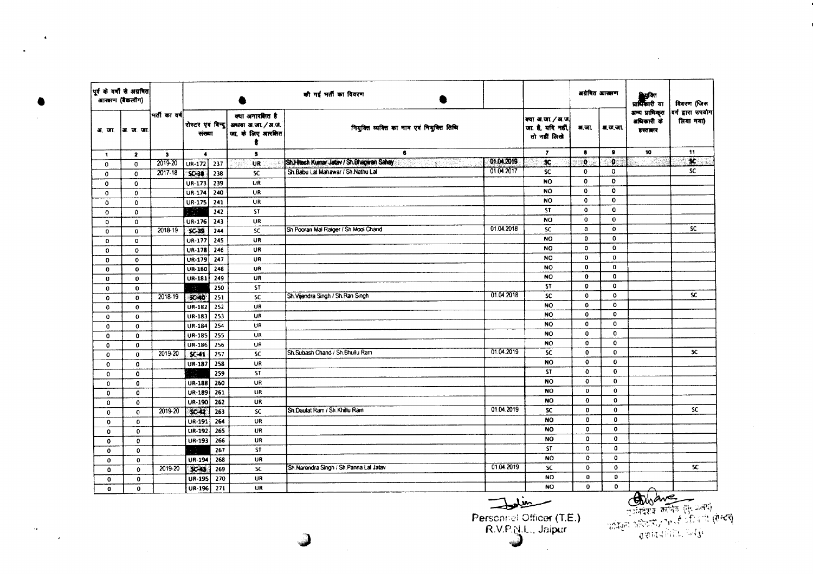|              | पूर्व के वर्षों से अग्रवित<br>.<br>आरक्षण (बैकलॉग) |              |                             |                  |                                                          | की गई भर्ती का विवरण                                          |            |                                                      | अवेबित आसान  |              | सुद्धवित<br>प्राधिकारी या               | विवरण (जिस                     |
|--------------|----------------------------------------------------|--------------|-----------------------------|------------------|----------------------------------------------------------|---------------------------------------------------------------|------------|------------------------------------------------------|--------------|--------------|-----------------------------------------|--------------------------------|
|              | अ. जा.  अ. ज. जा.                                  | भर्तीकावर्ष  | रोस्टर एवं बिन्दु<br>संख्या |                  | क्या अनारशित है<br>अधवा अ.जा./अ.ज.<br>जा. के लिए आरक्षित | नियुक्ति व्यक्ति का नाम एवं नियुक्ति तिथि                     |            | क्या अ.जा./ अ.ज<br>जा. है, यदि नहीं,<br>तो नहीं लिखे | अ.जा.        | श.ज.जा.      | अन्य प्राधिकृत<br>अधिकारी के<br>इस्तातर | वर्ग द्वारा उपयोग<br>लिया गया) |
| 1            | $\overline{\mathbf{z}}$                            | $\mathbf{3}$ | $\blacktriangleleft$        |                  | 5                                                        | 6                                                             |            | $\overline{ }$                                       | $\bullet$    |              | 10                                      | 11                             |
| 0            | $\mathbf{0}$                                       | 2019-20      | $UR-172$                    | 237              | UR                                                       | Sh.Htech Kumar Jatav / Sh.Bhagwan Sahay<br>1999年10月19日,19月11日 | 01.04.2019 | $\mathbf{C}$                                         | $\bullet$    | $\bullet$    | 76F)                                    | $\mathbf{x}$                   |
| 0            | $\mathbf{0}$                                       | 2017-18      | <b>SC-38</b>                | 238              | <b>SC</b>                                                | Sh. Babu Lai Mahawar / Sh. Nathu Lai                          | 01.04.2017 | SC                                                   | $\mathbf{o}$ | 0            |                                         | <b>SC</b>                      |
| $\mathbf{o}$ | $\mathbf 0$                                        |              | UR-173                      | 239              | <b>UR</b>                                                |                                                               |            | <b>NO</b>                                            | $\mathbf 0$  | O            |                                         |                                |
| $\mathbf{0}$ | 0                                                  |              | UR-174                      | $\overline{240}$ | UR                                                       |                                                               |            | <b>NO</b>                                            | 0            | $\mathbf{0}$ |                                         |                                |
| $\Omega$     | $\mathbf 0$                                        |              | <b>UR-175</b>               | 241              | <b>UR</b>                                                |                                                               |            | <b>NO</b>                                            | 0            | $\bf{0}$     |                                         |                                |
| $\mathbf 0$  | $\mathbf{o}$                                       |              | خ وفارا                     | 242              | ST                                                       |                                                               |            | <b>ST</b>                                            | $\mathbf{0}$ | $\mathbf 0$  |                                         |                                |
| 0            | 0                                                  |              | UR-176                      | 243              | UR                                                       |                                                               |            | NO                                                   | $\mathbf 0$  | $\bf{0}$     |                                         |                                |
| 0            | $\mathbf 0$                                        | $2018 - 19$  | $SC-39$                     | 244              | <b>SC</b>                                                | Sh.Pooran Mal Raiger / Sh.Mool Chand                          | 01.04.2018 | <b>SC</b>                                            | $\bullet$    | $\mathbf 0$  |                                         | SC.                            |
| $\mathbf 0$  | $\mathbf 0$                                        |              | UR-177                      | 245              | UR                                                       |                                                               |            | <b>NO</b>                                            | 0            | 0            |                                         |                                |
| $\mathbf{o}$ | $\mathbf{o}$                                       |              | UR-178                      | 246              | <b>UR</b>                                                |                                                               |            | NO                                                   | $\mathbf 0$  | 0            |                                         |                                |
| $\mathbf{o}$ | $\mathbf 0$                                        |              | <b>UR-179</b>               | 247              | UR                                                       |                                                               |            | <b>NO</b>                                            | $\mathbf 0$  | $\mathbf 0$  |                                         |                                |
| $\mathbf 0$  | $\mathbf{o}$                                       |              | UR-180                      | 248              | UR                                                       |                                                               |            | <b>NO</b>                                            | $\mathbf 0$  | $\mathbf 0$  |                                         |                                |
| $\bf{0}$     | $\mathbf{0}$                                       |              | <b>UR-181</b>               | 249              | UR                                                       |                                                               |            | NO                                                   | $\mathbf{0}$ | $\mathbf 0$  |                                         |                                |
| $\mathbf 0$  | $\mathbf 0$                                        |              | $\sim$                      | 250              | <b>ST</b>                                                |                                                               |            | <b>ST</b>                                            | $\mathbf{0}$ | $\mathbf{0}$ |                                         |                                |
| 0            | $\mathbf 0$                                        | 2018-19      | <b>SC-40</b>                | 251              | ${\sf SC}$                                               | Sh. Vijendra Singh / Sh. Ran Singh                            | 01.04.2018 | SC                                                   | $\mathbf 0$  | $\mathbf{o}$ |                                         | SC.                            |
| $\mathbf 0$  | $\mathbf{o}$                                       |              | UR-182                      | 252              | UR                                                       |                                                               |            | <b>NO</b>                                            | $\mathbf 0$  | $\mathbf{O}$ |                                         |                                |
| $\bf{0}$     | $\mathbf 0$                                        |              | UR-183                      | 253              | <b>UR</b>                                                |                                                               |            | <b>NO</b>                                            | $\mathbf 0$  | $\mathbf 0$  |                                         |                                |
| 0            | $\mathbf 0$                                        |              | <b>UR-184</b>               | 254              | UR                                                       |                                                               |            | NO                                                   | $\mathbf 0$  | $\mathbf 0$  |                                         |                                |
| $\mathbf{0}$ | $\mathbf{0}$                                       |              | UR-185                      | $\overline{255}$ | UR                                                       |                                                               |            | <b>NO</b>                                            | $\bf 0$      | 0            |                                         |                                |
| 0            | $\mathbf 0$                                        |              | UR-186                      | 256              | <b>UR</b>                                                |                                                               |            | NO                                                   | 0            | $\mathbf 0$  |                                         |                                |
| 0            | $\mathbf 0$                                        | 2019-20      | $SC-41$                     | $\overline{257}$ | <b>SC</b>                                                | Sh.Subash Chand / Sh.Bhullu Ram                               | 01.04.2019 | <b>SC</b>                                            | $\bf{0}$     | $\mathbf 0$  |                                         | SC.                            |
| $\mathbf 0$  | $\mathbf 0$                                        |              | UR-187                      | 258              | UR                                                       |                                                               |            | <b>NO</b>                                            | $\mathbf 0$  | 0            |                                         |                                |
| $\mathbf 0$  | $\mathbf{0}$                                       |              |                             | 259              | ST                                                       |                                                               |            | <b>ST</b>                                            | $\circ$      | $\mathbf 0$  |                                         |                                |
| 0            | $\mathbf{0}$                                       |              | <b>UR-188</b>               | 260              | <b>UR</b>                                                |                                                               |            | <b>NO</b>                                            | $\mathbf{0}$ | 0            |                                         |                                |
| 0            | 0                                                  |              | UR-189                      | $\overline{261}$ | UR                                                       |                                                               |            | <b>NO</b>                                            | $\mathbf 0$  | $\mathbf o$  |                                         |                                |
| $\mathbf 0$  | $\mathbf{0}$                                       |              | UR-190                      | $\overline{262}$ | UR                                                       |                                                               |            | <b>NO</b>                                            | $\mathbf{0}$ | $\mathbf 0$  |                                         |                                |
| 0            | $\mathbf 0$                                        | 2019-20      | $SC-42$                     | 263              | SC                                                       | Sh.Daulat Ram / Sh.Khillu Ram                                 | 01.04.2019 | <b>SC</b>                                            | $\mathbf 0$  | $\bf{0}$     |                                         | SC                             |
| $\mathbf 0$  | $\mathbf{0}$                                       |              | <b>UR-191</b>               | 264              | UR                                                       |                                                               |            | <b>NO</b>                                            | $\mathbf 0$  | $\Omega$     |                                         |                                |
| $\bf{0}$     | 0                                                  |              | UR-192                      | 265              | UR                                                       |                                                               |            | <b>NO</b>                                            | 0            | $\mathbf o$  |                                         |                                |
| $\mathbf 0$  | $\mathbf 0$                                        |              | UR-193                      | 266              | UR                                                       |                                                               |            | <b>NO</b>                                            | $\mathbf{0}$ | $\mathbf{o}$ |                                         |                                |
| 0            | $\mathbf{0}$                                       |              |                             | $\overline{267}$ | <b>ST</b>                                                |                                                               |            | <b>ST</b>                                            | 0            | $\mathbf 0$  |                                         |                                |
| 0            | $\mathbf 0$                                        |              | UR-194                      | 268              | UR                                                       |                                                               |            | <b>NO</b>                                            | $\mathbf{o}$ | $\mathbf 0$  |                                         |                                |
| O            | $\mathbf{o}$                                       | 2019-20      | $5$                         | $\overline{269}$ | $\overline{\mathbf{S}}$                                  | Sh Narendra Singh / Sh Panna Lal Jatav                        | 01.04.2019 | SC                                                   | $\mathbf 0$  | $\mathbf{o}$ |                                         | ${\bf s}$                      |
| $\mathbf 0$  | $\mathbf 0$                                        |              | UR-195                      | 270              | UR                                                       |                                                               |            | <b>NO</b>                                            | $\bf{0}$     | $\mathbf 0$  |                                         |                                |
| $\mathbf{0}$ | $\mathbf{o}$                                       |              | UR-196 271                  |                  | <b>UR</b>                                                |                                                               |            | <b>NO</b>                                            | $\Omega$     | $\mathbf 0$  | $\pi$                                   |                                |

 $\sim 10^7$ 

 $\langle \bullet \rangle$ 

 $\bullet$ 

 $\exists$ Personnel Officer (T.E.)<br>R.V.P.N.L., Jaipur

कारिया कार्यक्रम (सेस्टर)<br>उपनिवेश्य कार्यिक (से प्रत्य)<br>पर्वाप्रस्त (सेस्टर)<br>पर्साय कोरिया पर्वाप्त

 $\label{eq:2.1} \frac{1}{2} \sum_{i=1}^n \frac{1}{2} \sum_{j=1}^n \frac{1}{2} \sum_{j=1}^n \frac{1}{2} \sum_{j=1}^n \frac{1}{2} \sum_{j=1}^n \frac{1}{2} \sum_{j=1}^n \frac{1}{2} \sum_{j=1}^n \frac{1}{2} \sum_{j=1}^n \frac{1}{2} \sum_{j=1}^n \frac{1}{2} \sum_{j=1}^n \frac{1}{2} \sum_{j=1}^n \frac{1}{2} \sum_{j=1}^n \frac{1}{2} \sum_{j=1}^n \frac{$